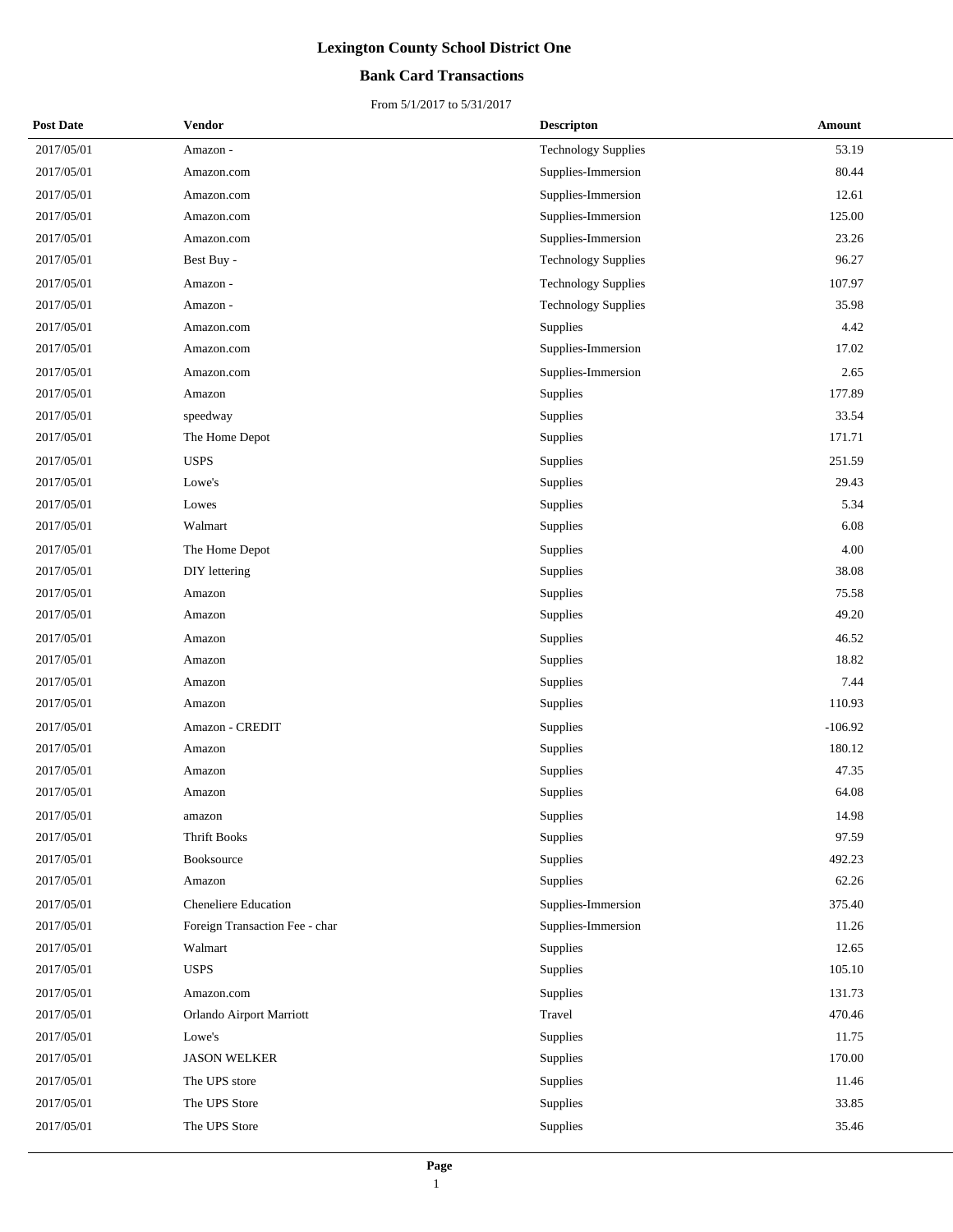### **Bank Card Transactions**

| <b>Post Date</b> | Vendor                         | <b>Descripton</b>          | Amount    |
|------------------|--------------------------------|----------------------------|-----------|
| 2017/05/01       | Amazon -                       | <b>Technology Supplies</b> | 53.19     |
| 2017/05/01       | Amazon.com                     | Supplies-Immersion         | 80.44     |
| 2017/05/01       | Amazon.com                     | Supplies-Immersion         | 12.61     |
| 2017/05/01       | Amazon.com                     | Supplies-Immersion         | 125.00    |
| 2017/05/01       | Amazon.com                     | Supplies-Immersion         | 23.26     |
| 2017/05/01       | Best Buy -                     | <b>Technology Supplies</b> | 96.27     |
| 2017/05/01       | Amazon -                       | <b>Technology Supplies</b> | 107.97    |
| 2017/05/01       | Amazon -                       | <b>Technology Supplies</b> | 35.98     |
| 2017/05/01       | Amazon.com                     | Supplies                   | 4.42      |
| 2017/05/01       | Amazon.com                     | Supplies-Immersion         | 17.02     |
| 2017/05/01       | Amazon.com                     | Supplies-Immersion         | 2.65      |
| 2017/05/01       | Amazon                         | Supplies                   | 177.89    |
| 2017/05/01       | speedway                       | Supplies                   | 33.54     |
| 2017/05/01       | The Home Depot                 | Supplies                   | 171.71    |
| 2017/05/01       | <b>USPS</b>                    | Supplies                   | 251.59    |
| 2017/05/01       | Lowe's                         | Supplies                   | 29.43     |
| 2017/05/01       | Lowes                          | Supplies                   | 5.34      |
| 2017/05/01       | Walmart                        | Supplies                   | 6.08      |
| 2017/05/01       | The Home Depot                 | Supplies                   | 4.00      |
| 2017/05/01       | DIY lettering                  | Supplies                   | 38.08     |
| 2017/05/01       | Amazon                         | Supplies                   | 75.58     |
| 2017/05/01       | Amazon                         | Supplies                   | 49.20     |
| 2017/05/01       | Amazon                         | Supplies                   | 46.52     |
| 2017/05/01       | Amazon                         | Supplies                   | 18.82     |
| 2017/05/01       | Amazon                         | Supplies                   | 7.44      |
| 2017/05/01       | Amazon                         | Supplies                   | 110.93    |
| 2017/05/01       | Amazon - CREDIT                | Supplies                   | $-106.92$ |
| 2017/05/01       | Amazon                         | Supplies                   | 180.12    |
| 2017/05/01       | Amazon                         | Supplies                   | 47.35     |
| 2017/05/01       | Amazon                         | Supplies                   | 64.08     |
| 2017/05/01       | amazon                         | Supplies                   | 14.98     |
| 2017/05/01       | <b>Thrift Books</b>            | Supplies                   | 97.59     |
| 2017/05/01       | Booksource                     | Supplies                   | 492.23    |
| 2017/05/01       | Amazon                         | Supplies                   | 62.26     |
| 2017/05/01       | <b>Cheneliere Education</b>    | Supplies-Immersion         | 375.40    |
| 2017/05/01       | Foreign Transaction Fee - char | Supplies-Immersion         | 11.26     |
| 2017/05/01       | Walmart                        | Supplies                   | 12.65     |
| 2017/05/01       | <b>USPS</b>                    | Supplies                   | 105.10    |
| 2017/05/01       | Amazon.com                     | Supplies                   | 131.73    |
| 2017/05/01       | Orlando Airport Marriott       | Travel                     | 470.46    |
| 2017/05/01       | Lowe's                         | Supplies                   | 11.75     |
| 2017/05/01       | <b>JASON WELKER</b>            | Supplies                   | 170.00    |
| 2017/05/01       | The UPS store                  | Supplies                   | 11.46     |
| 2017/05/01       | The UPS Store                  | Supplies                   | 33.85     |
| 2017/05/01       | The UPS Store                  | Supplies                   | 35.46     |
|                  |                                |                            |           |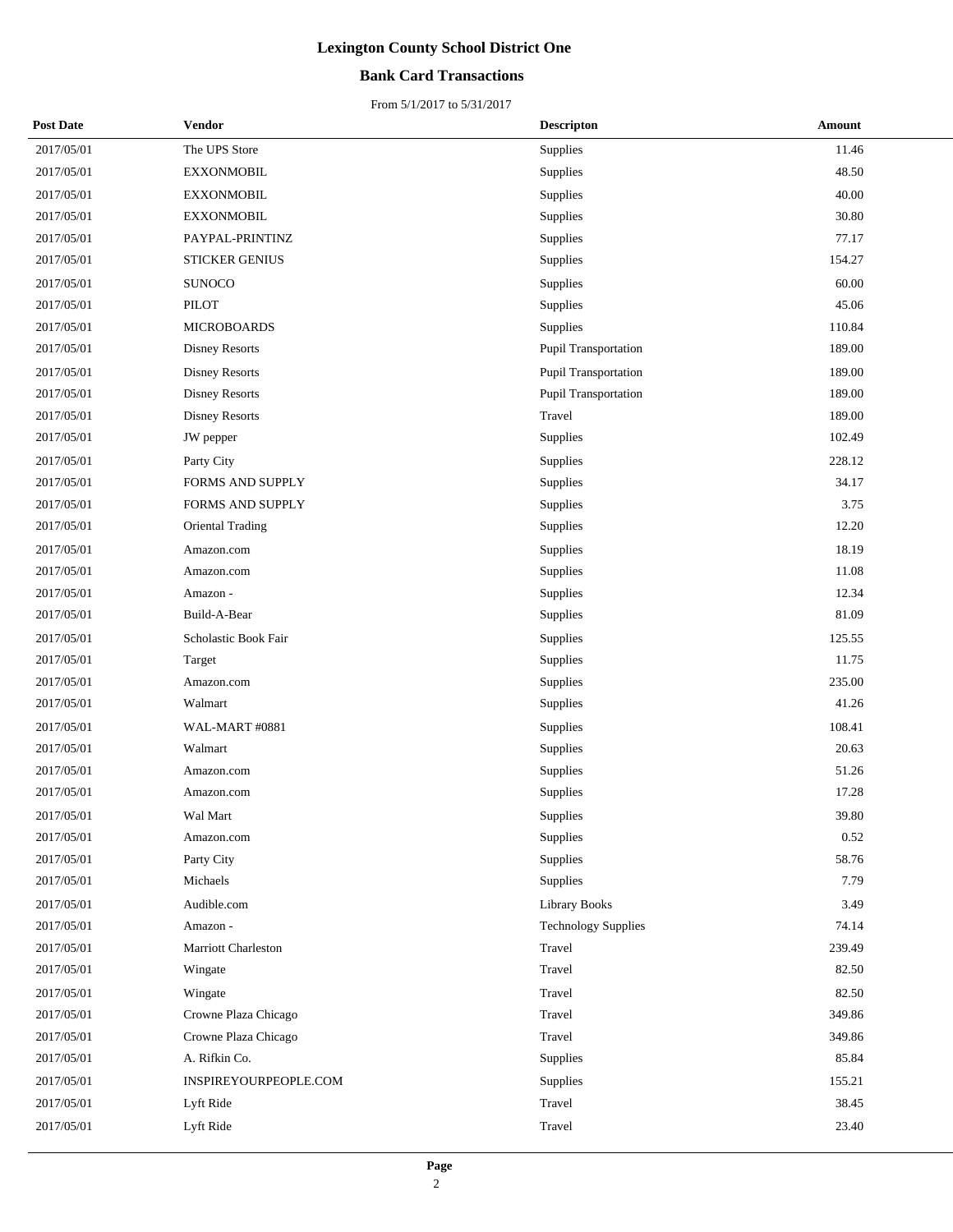### **Bank Card Transactions**

| <b>Post Date</b> | Vendor                | <b>Descripton</b>          | Amount |
|------------------|-----------------------|----------------------------|--------|
| 2017/05/01       | The UPS Store         | Supplies                   | 11.46  |
| 2017/05/01       | <b>EXXONMOBIL</b>     | Supplies                   | 48.50  |
| 2017/05/01       | <b>EXXONMOBIL</b>     | Supplies                   | 40.00  |
| 2017/05/01       | <b>EXXONMOBIL</b>     | Supplies                   | 30.80  |
| 2017/05/01       | PAYPAL-PRINTINZ       | Supplies                   | 77.17  |
| 2017/05/01       | <b>STICKER GENIUS</b> | Supplies                   | 154.27 |
| 2017/05/01       | <b>SUNOCO</b>         | Supplies                   | 60.00  |
| 2017/05/01       | <b>PILOT</b>          | Supplies                   | 45.06  |
| 2017/05/01       | <b>MICROBOARDS</b>    | Supplies                   | 110.84 |
| 2017/05/01       | <b>Disney Resorts</b> | Pupil Transportation       | 189.00 |
| 2017/05/01       | <b>Disney Resorts</b> | Pupil Transportation       | 189.00 |
| 2017/05/01       | Disney Resorts        | Pupil Transportation       | 189.00 |
| 2017/05/01       | <b>Disney Resorts</b> | Travel                     | 189.00 |
| 2017/05/01       | JW pepper             | Supplies                   | 102.49 |
| 2017/05/01       | Party City            | Supplies                   | 228.12 |
| 2017/05/01       | FORMS AND SUPPLY      | Supplies                   | 34.17  |
| 2017/05/01       | FORMS AND SUPPLY      | Supplies                   | 3.75   |
| 2017/05/01       | Oriental Trading      | Supplies                   | 12.20  |
| 2017/05/01       | Amazon.com            | Supplies                   | 18.19  |
| 2017/05/01       | Amazon.com            | Supplies                   | 11.08  |
| 2017/05/01       | Amazon -              | Supplies                   | 12.34  |
| 2017/05/01       | Build-A-Bear          | Supplies                   | 81.09  |
| 2017/05/01       | Scholastic Book Fair  | Supplies                   | 125.55 |
| 2017/05/01       | Target                | Supplies                   | 11.75  |
| 2017/05/01       | Amazon.com            | Supplies                   | 235.00 |
| 2017/05/01       | Walmart               | Supplies                   | 41.26  |
| 2017/05/01       | WAL-MART #0881        | Supplies                   | 108.41 |
| 2017/05/01       | Walmart               | Supplies                   | 20.63  |
| 2017/05/01       | Amazon.com            | Supplies                   | 51.26  |
| 2017/05/01       | Amazon.com            | Supplies                   | 17.28  |
| 2017/05/01       | Wal Mart              | Supplies                   | 39.80  |
| 2017/05/01       | Amazon.com            | Supplies                   | 0.52   |
| 2017/05/01       | Party City            | Supplies                   | 58.76  |
| 2017/05/01       | Michaels              | Supplies                   | 7.79   |
| 2017/05/01       | Audible.com           | <b>Library Books</b>       | 3.49   |
| 2017/05/01       | Amazon -              | <b>Technology Supplies</b> | 74.14  |
| 2017/05/01       | Marriott Charleston   | Travel                     | 239.49 |
| 2017/05/01       | Wingate               | Travel                     | 82.50  |
| 2017/05/01       | Wingate               | Travel                     | 82.50  |
| 2017/05/01       | Crowne Plaza Chicago  | Travel                     | 349.86 |
| 2017/05/01       | Crowne Plaza Chicago  | Travel                     | 349.86 |
| 2017/05/01       | A. Rifkin Co.         | Supplies                   | 85.84  |
| 2017/05/01       | INSPIREYOURPEOPLE.COM | Supplies                   | 155.21 |
| 2017/05/01       | Lyft Ride             | Travel                     | 38.45  |
| 2017/05/01       | Lyft Ride             | Travel                     | 23.40  |
|                  |                       |                            |        |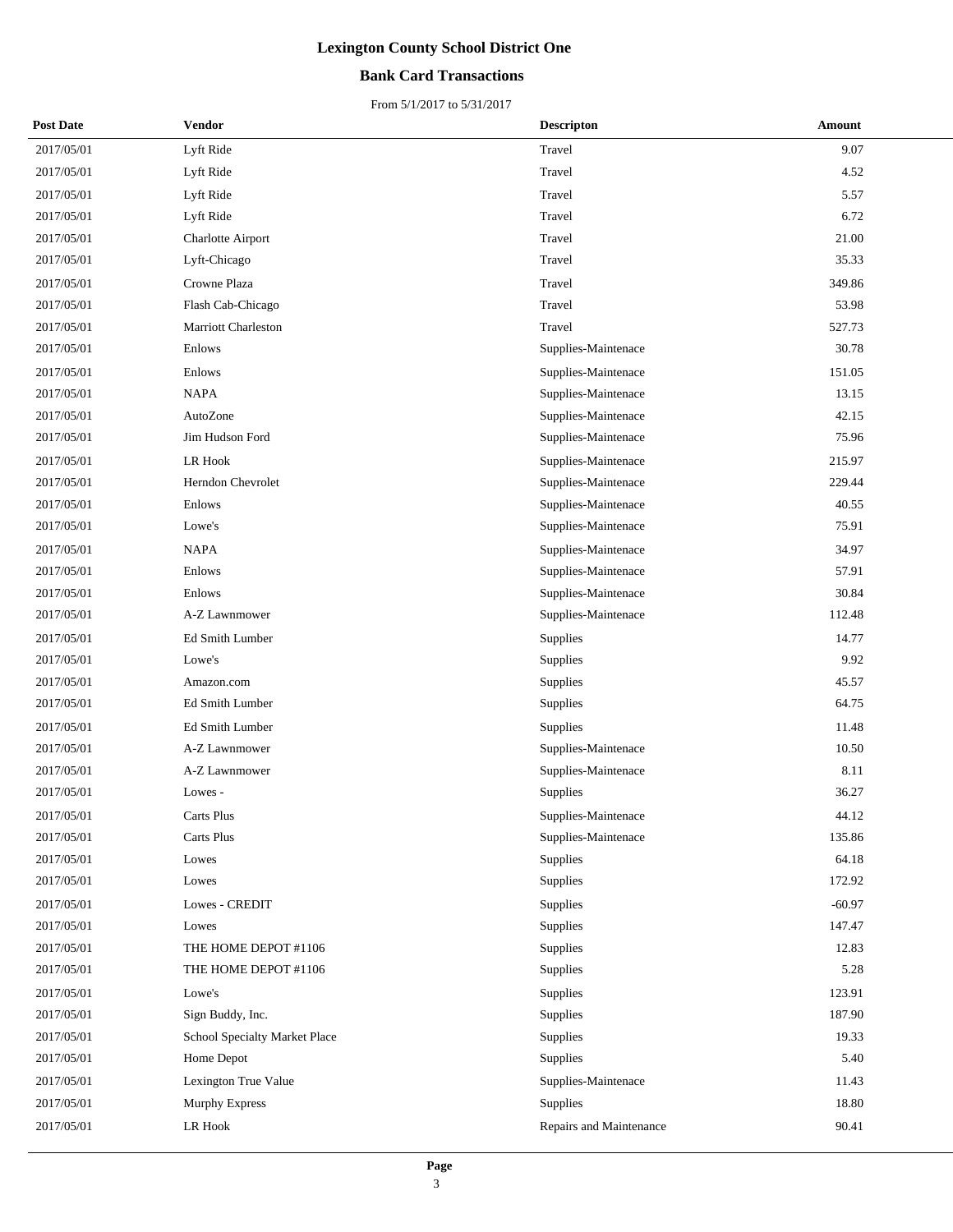### **Bank Card Transactions**

| <b>Post Date</b> | Vendor                        | <b>Descripton</b>       | Amount   |
|------------------|-------------------------------|-------------------------|----------|
| 2017/05/01       | Lyft Ride                     | Travel                  | 9.07     |
| 2017/05/01       | Lyft Ride                     | Travel                  | 4.52     |
| 2017/05/01       | Lyft Ride                     | Travel                  | 5.57     |
| 2017/05/01       | Lyft Ride                     | Travel                  | 6.72     |
| 2017/05/01       | Charlotte Airport             | Travel                  | 21.00    |
| 2017/05/01       | Lyft-Chicago                  | Travel                  | 35.33    |
| 2017/05/01       | Crowne Plaza                  | Travel                  | 349.86   |
| 2017/05/01       | Flash Cab-Chicago             | Travel                  | 53.98    |
| 2017/05/01       | Marriott Charleston           | Travel                  | 527.73   |
| 2017/05/01       | Enlows                        | Supplies-Maintenace     | 30.78    |
| 2017/05/01       | Enlows                        | Supplies-Maintenace     | 151.05   |
| 2017/05/01       | <b>NAPA</b>                   | Supplies-Maintenace     | 13.15    |
| 2017/05/01       | AutoZone                      | Supplies-Maintenace     | 42.15    |
| 2017/05/01       | Jim Hudson Ford               | Supplies-Maintenace     | 75.96    |
| 2017/05/01       | LR Hook                       | Supplies-Maintenace     | 215.97   |
| 2017/05/01       | Herndon Chevrolet             | Supplies-Maintenace     | 229.44   |
| 2017/05/01       | Enlows                        | Supplies-Maintenace     | 40.55    |
| 2017/05/01       | Lowe's                        | Supplies-Maintenace     | 75.91    |
| 2017/05/01       | <b>NAPA</b>                   | Supplies-Maintenace     | 34.97    |
| 2017/05/01       | Enlows                        | Supplies-Maintenace     | 57.91    |
| 2017/05/01       | Enlows                        | Supplies-Maintenace     | 30.84    |
| 2017/05/01       | A-Z Lawnmower                 | Supplies-Maintenace     | 112.48   |
| 2017/05/01       | Ed Smith Lumber               | Supplies                | 14.77    |
| 2017/05/01       | Lowe's                        | Supplies                | 9.92     |
| 2017/05/01       | Amazon.com                    | Supplies                | 45.57    |
| 2017/05/01       | Ed Smith Lumber               | Supplies                | 64.75    |
| 2017/05/01       | <b>Ed Smith Lumber</b>        | <b>Supplies</b>         | 11.48    |
| 2017/05/01       | A-Z Lawnmower                 | Supplies-Maintenace     | 10.50    |
| 2017/05/01       | A-Z Lawnmower                 | Supplies-Maintenace     | 8.11     |
| 2017/05/01       | Lowes -                       | Supplies                | 36.27    |
| 2017/05/01       | Carts Plus                    | Supplies-Maintenace     | 44.12    |
| 2017/05/01       | Carts Plus                    | Supplies-Maintenace     | 135.86   |
| 2017/05/01       | Lowes                         | Supplies                | 64.18    |
| 2017/05/01       | Lowes                         | Supplies                | 172.92   |
| 2017/05/01       | Lowes - CREDIT                | Supplies                | $-60.97$ |
| 2017/05/01       | Lowes                         | Supplies                | 147.47   |
| 2017/05/01       | THE HOME DEPOT #1106          | Supplies                | 12.83    |
| 2017/05/01       | THE HOME DEPOT #1106          | Supplies                | 5.28     |
| 2017/05/01       | Lowe's                        | Supplies                | 123.91   |
| 2017/05/01       | Sign Buddy, Inc.              | Supplies                | 187.90   |
| 2017/05/01       | School Specialty Market Place | Supplies                | 19.33    |
| 2017/05/01       | Home Depot                    | Supplies                | 5.40     |
| 2017/05/01       | Lexington True Value          | Supplies-Maintenace     | 11.43    |
| 2017/05/01       | Murphy Express                | Supplies                | 18.80    |
| 2017/05/01       | LR Hook                       | Repairs and Maintenance | 90.41    |
|                  |                               |                         |          |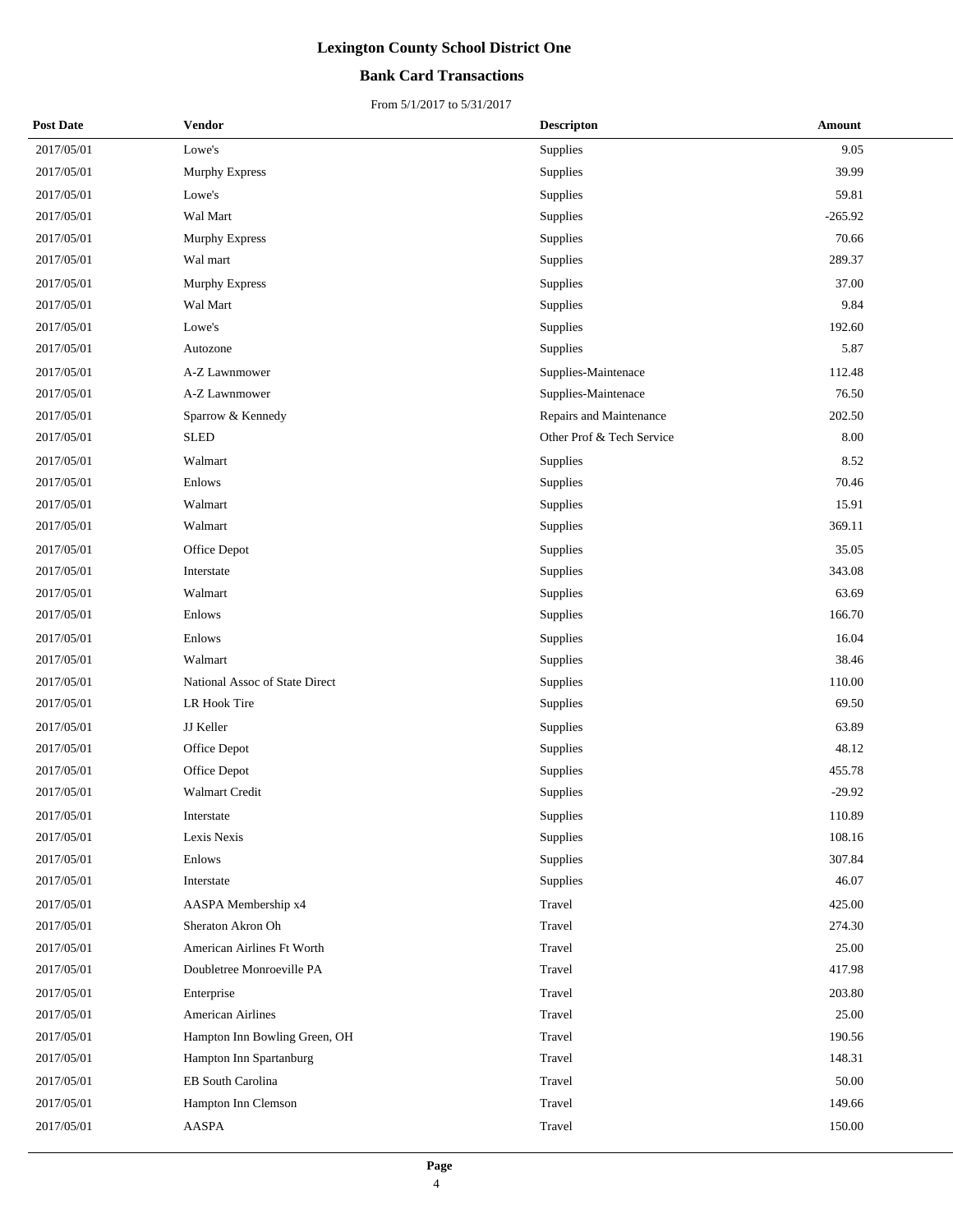### **Bank Card Transactions**

| <b>Post Date</b> | Vendor                         | <b>Descripton</b>         | Amount    |
|------------------|--------------------------------|---------------------------|-----------|
| 2017/05/01       | Lowe's                         | Supplies                  | 9.05      |
| 2017/05/01       | Murphy Express                 | Supplies                  | 39.99     |
| 2017/05/01       | Lowe's                         | Supplies                  | 59.81     |
| 2017/05/01       | Wal Mart                       | Supplies                  | $-265.92$ |
| 2017/05/01       | <b>Murphy Express</b>          | Supplies                  | 70.66     |
| 2017/05/01       | Wal mart                       | Supplies                  | 289.37    |
| 2017/05/01       | <b>Murphy Express</b>          | Supplies                  | 37.00     |
| 2017/05/01       | Wal Mart                       | Supplies                  | 9.84      |
| 2017/05/01       | Lowe's                         | Supplies                  | 192.60    |
| 2017/05/01       | Autozone                       | Supplies                  | 5.87      |
| 2017/05/01       | A-Z Lawnmower                  | Supplies-Maintenace       | 112.48    |
| 2017/05/01       | A-Z Lawnmower                  | Supplies-Maintenace       | 76.50     |
| 2017/05/01       | Sparrow & Kennedy              | Repairs and Maintenance   | 202.50    |
| 2017/05/01       | <b>SLED</b>                    | Other Prof & Tech Service | 8.00      |
| 2017/05/01       | Walmart                        | Supplies                  | 8.52      |
| 2017/05/01       | Enlows                         | Supplies                  | 70.46     |
| 2017/05/01       | Walmart                        | Supplies                  | 15.91     |
| 2017/05/01       | Walmart                        | Supplies                  | 369.11    |
| 2017/05/01       | Office Depot                   | Supplies                  | 35.05     |
| 2017/05/01       | Interstate                     | Supplies                  | 343.08    |
| 2017/05/01       | Walmart                        | Supplies                  | 63.69     |
| 2017/05/01       | Enlows                         | Supplies                  | 166.70    |
| 2017/05/01       | Enlows                         | Supplies                  | 16.04     |
| 2017/05/01       | Walmart                        | Supplies                  | 38.46     |
| 2017/05/01       | National Assoc of State Direct | Supplies                  | 110.00    |
| 2017/05/01       | LR Hook Tire                   | Supplies                  | 69.50     |
| 2017/05/01       | JJ Keller                      | Supplies                  | 63.89     |
| 2017/05/01       | Office Depot                   | Supplies                  | 48.12     |
| 2017/05/01       | Office Depot                   | Supplies                  | 455.78    |
| 2017/05/01       | Walmart Credit                 | Supplies                  | $-29.92$  |
| 2017/05/01       | Interstate                     | Supplies                  | 110.89    |
| 2017/05/01       | Lexis Nexis                    | Supplies                  | 108.16    |
| 2017/05/01       | Enlows                         | Supplies                  | 307.84    |
| 2017/05/01       | Interstate                     | Supplies                  | 46.07     |
| 2017/05/01       | AASPA Membership x4            | Travel                    | 425.00    |
| 2017/05/01       | Sheraton Akron Oh              | Travel                    | 274.30    |
| 2017/05/01       | American Airlines Ft Worth     | Travel                    | 25.00     |
| 2017/05/01       | Doubletree Monroeville PA      | Travel                    | 417.98    |
| 2017/05/01       | Enterprise                     | Travel                    | 203.80    |
| 2017/05/01       | <b>American Airlines</b>       | Travel                    | 25.00     |
| 2017/05/01       | Hampton Inn Bowling Green, OH  | Travel                    | 190.56    |
| 2017/05/01       | Hampton Inn Spartanburg        | Travel                    | 148.31    |
| 2017/05/01       | EB South Carolina              | Travel                    | 50.00     |
| 2017/05/01       | Hampton Inn Clemson            | Travel                    | 149.66    |
| 2017/05/01       | AASPA                          | Travel                    | 150.00    |
|                  |                                |                           |           |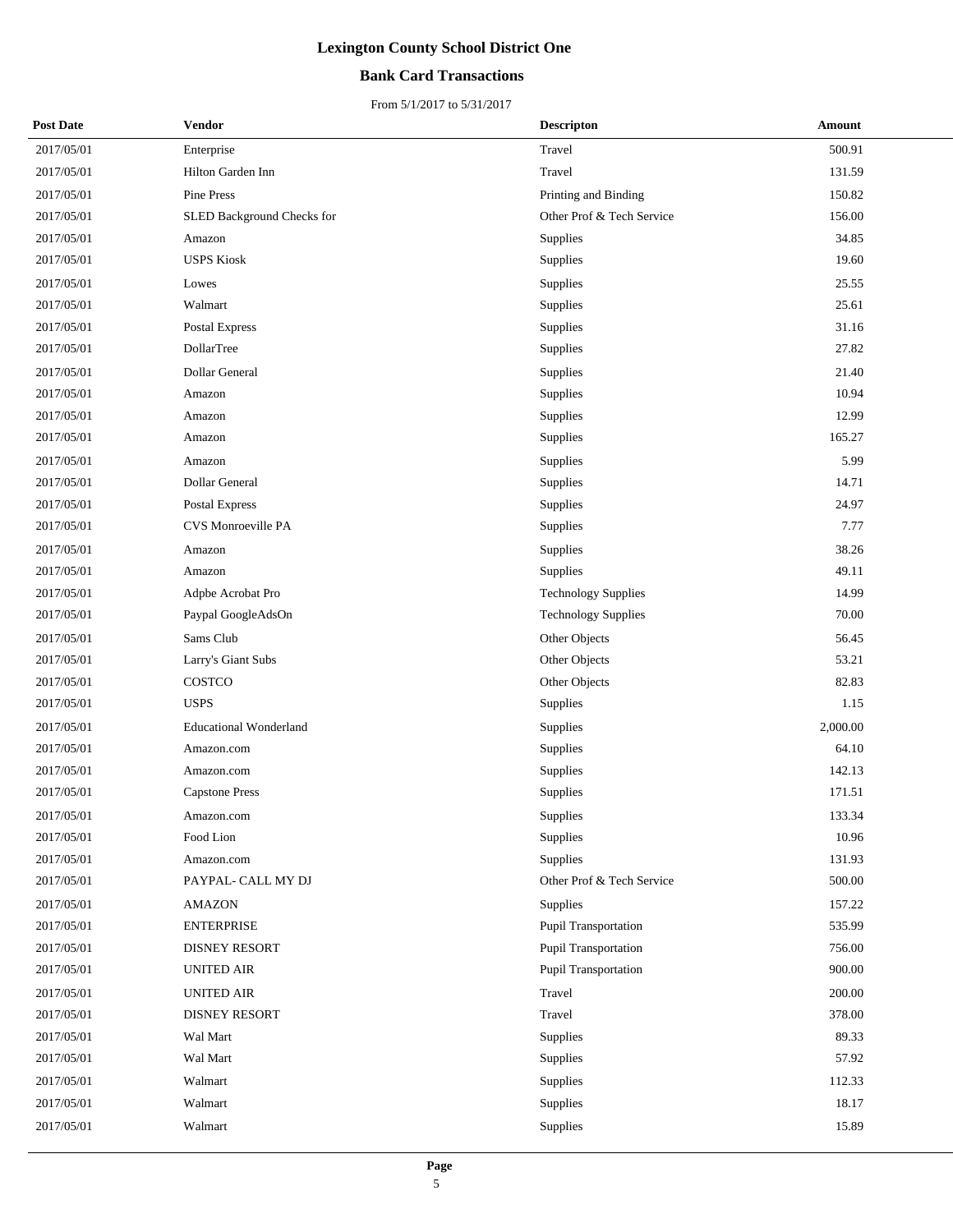### **Bank Card Transactions**

| <b>Post Date</b> | Vendor                        | <b>Descripton</b>          | Amount   |
|------------------|-------------------------------|----------------------------|----------|
| 2017/05/01       | Enterprise                    | Travel                     | 500.91   |
| 2017/05/01       | Hilton Garden Inn             | Travel                     | 131.59   |
| 2017/05/01       | Pine Press                    | Printing and Binding       | 150.82   |
| 2017/05/01       | SLED Background Checks for    | Other Prof & Tech Service  | 156.00   |
| 2017/05/01       | Amazon                        | Supplies                   | 34.85    |
| 2017/05/01       | <b>USPS Kiosk</b>             | Supplies                   | 19.60    |
| 2017/05/01       | Lowes                         | Supplies                   | 25.55    |
| 2017/05/01       | Walmart                       | Supplies                   | 25.61    |
| 2017/05/01       | Postal Express                | Supplies                   | 31.16    |
| 2017/05/01       | DollarTree                    | Supplies                   | 27.82    |
| 2017/05/01       | Dollar General                | Supplies                   | 21.40    |
| 2017/05/01       | Amazon                        | Supplies                   | 10.94    |
| 2017/05/01       | Amazon                        | Supplies                   | 12.99    |
| 2017/05/01       | Amazon                        | Supplies                   | 165.27   |
| 2017/05/01       | Amazon                        | Supplies                   | 5.99     |
| 2017/05/01       | Dollar General                | Supplies                   | 14.71    |
| 2017/05/01       | Postal Express                | Supplies                   | 24.97    |
| 2017/05/01       | CVS Monroeville PA            | Supplies                   | 7.77     |
| 2017/05/01       | Amazon                        | Supplies                   | 38.26    |
| 2017/05/01       | Amazon                        | Supplies                   | 49.11    |
| 2017/05/01       | Adpbe Acrobat Pro             | <b>Technology Supplies</b> | 14.99    |
| 2017/05/01       | Paypal GoogleAdsOn            | <b>Technology Supplies</b> | 70.00    |
| 2017/05/01       | Sams Club                     | Other Objects              | 56.45    |
| 2017/05/01       | Larry's Giant Subs            | Other Objects              | 53.21    |
| 2017/05/01       | COSTCO                        | Other Objects              | 82.83    |
| 2017/05/01       | <b>USPS</b>                   | Supplies                   | 1.15     |
| 2017/05/01       | <b>Educational Wonderland</b> | Supplies                   | 2,000.00 |
| 2017/05/01       | Amazon.com                    | Supplies                   | 64.10    |
| 2017/05/01       | Amazon.com                    | Supplies                   | 142.13   |
| 2017/05/01       | <b>Capstone Press</b>         | Supplies                   | 171.51   |
| 2017/05/01       | Amazon.com                    | Supplies                   | 133.34   |
| 2017/05/01       | Food Lion                     | Supplies                   | 10.96    |
| 2017/05/01       | Amazon.com                    | Supplies                   | 131.93   |
| 2017/05/01       | PAYPAL- CALL MY DJ            | Other Prof & Tech Service  | 500.00   |
| 2017/05/01       | <b>AMAZON</b>                 | Supplies                   | 157.22   |
| 2017/05/01       | <b>ENTERPRISE</b>             | Pupil Transportation       | 535.99   |
| 2017/05/01       | <b>DISNEY RESORT</b>          | Pupil Transportation       | 756.00   |
| 2017/05/01       | <b>UNITED AIR</b>             | Pupil Transportation       | 900.00   |
| 2017/05/01       | <b>UNITED AIR</b>             | Travel                     | 200.00   |
| 2017/05/01       | <b>DISNEY RESORT</b>          | Travel                     | 378.00   |
| 2017/05/01       | Wal Mart                      | Supplies                   | 89.33    |
| 2017/05/01       | Wal Mart                      | Supplies                   | 57.92    |
| 2017/05/01       | Walmart                       | Supplies                   | 112.33   |
| 2017/05/01       | Walmart                       | Supplies                   | 18.17    |
| 2017/05/01       | Walmart                       | Supplies                   | 15.89    |
|                  |                               |                            |          |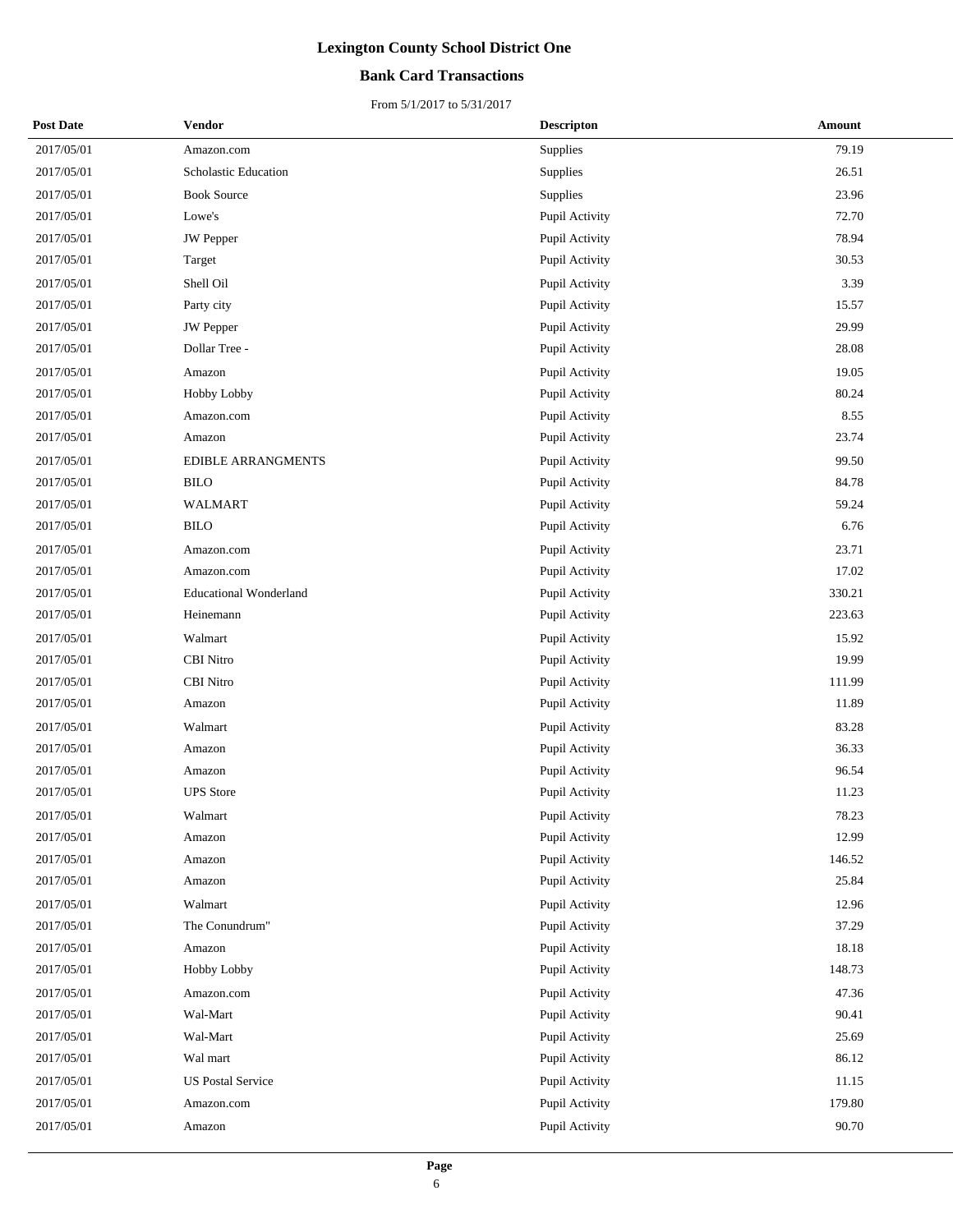### **Bank Card Transactions**

| <b>Post Date</b> | Vendor                        | <b>Descripton</b> | Amount |
|------------------|-------------------------------|-------------------|--------|
| 2017/05/01       | Amazon.com                    | Supplies          | 79.19  |
| 2017/05/01       | Scholastic Education          | Supplies          | 26.51  |
| 2017/05/01       | <b>Book Source</b>            | Supplies          | 23.96  |
| 2017/05/01       | Lowe's                        | Pupil Activity    | 72.70  |
| 2017/05/01       | JW Pepper                     | Pupil Activity    | 78.94  |
| 2017/05/01       | Target                        | Pupil Activity    | 30.53  |
| 2017/05/01       | Shell Oil                     | Pupil Activity    | 3.39   |
| 2017/05/01       | Party city                    | Pupil Activity    | 15.57  |
| 2017/05/01       | JW Pepper                     | Pupil Activity    | 29.99  |
| 2017/05/01       | Dollar Tree -                 | Pupil Activity    | 28.08  |
| 2017/05/01       | Amazon                        | Pupil Activity    | 19.05  |
| 2017/05/01       | Hobby Lobby                   | Pupil Activity    | 80.24  |
| 2017/05/01       | Amazon.com                    | Pupil Activity    | 8.55   |
| 2017/05/01       | Amazon                        | Pupil Activity    | 23.74  |
| 2017/05/01       | <b>EDIBLE ARRANGMENTS</b>     | Pupil Activity    | 99.50  |
| 2017/05/01       | <b>BILO</b>                   | Pupil Activity    | 84.78  |
| 2017/05/01       | <b>WALMART</b>                | Pupil Activity    | 59.24  |
| 2017/05/01       | <b>BILO</b>                   | Pupil Activity    | 6.76   |
| 2017/05/01       | Amazon.com                    | Pupil Activity    | 23.71  |
| 2017/05/01       | Amazon.com                    | Pupil Activity    | 17.02  |
| 2017/05/01       | <b>Educational Wonderland</b> | Pupil Activity    | 330.21 |
| 2017/05/01       | Heinemann                     | Pupil Activity    | 223.63 |
| 2017/05/01       | Walmart                       | Pupil Activity    | 15.92  |
| 2017/05/01       | <b>CBI</b> Nitro              | Pupil Activity    | 19.99  |
| 2017/05/01       | <b>CBI</b> Nitro              | Pupil Activity    | 111.99 |
| 2017/05/01       | Amazon                        | Pupil Activity    | 11.89  |
| 2017/05/01       | Walmart                       | Pupil Activity    | 83.28  |
| 2017/05/01       | Amazon                        | Pupil Activity    | 36.33  |
| 2017/05/01       | Amazon                        | Pupil Activity    | 96.54  |
| 2017/05/01       | <b>UPS</b> Store              | Pupil Activity    | 11.23  |
| 2017/05/01       | Walmart                       | Pupil Activity    | 78.23  |
| 2017/05/01       | Amazon                        | Pupil Activity    | 12.99  |
| 2017/05/01       | Amazon                        | Pupil Activity    | 146.52 |
| 2017/05/01       | Amazon                        | Pupil Activity    | 25.84  |
| 2017/05/01       | Walmart                       | Pupil Activity    | 12.96  |
| 2017/05/01       | The Conundrum"                | Pupil Activity    | 37.29  |
| 2017/05/01       | Amazon                        | Pupil Activity    | 18.18  |
| 2017/05/01       | Hobby Lobby                   | Pupil Activity    | 148.73 |
| 2017/05/01       | Amazon.com                    | Pupil Activity    | 47.36  |
| 2017/05/01       | Wal-Mart                      | Pupil Activity    | 90.41  |
| 2017/05/01       | Wal-Mart                      | Pupil Activity    | 25.69  |
| 2017/05/01       | Wal mart                      | Pupil Activity    | 86.12  |
| 2017/05/01       | <b>US Postal Service</b>      | Pupil Activity    | 11.15  |
| 2017/05/01       | Amazon.com                    | Pupil Activity    | 179.80 |
| 2017/05/01       | Amazon                        | Pupil Activity    | 90.70  |
|                  |                               |                   |        |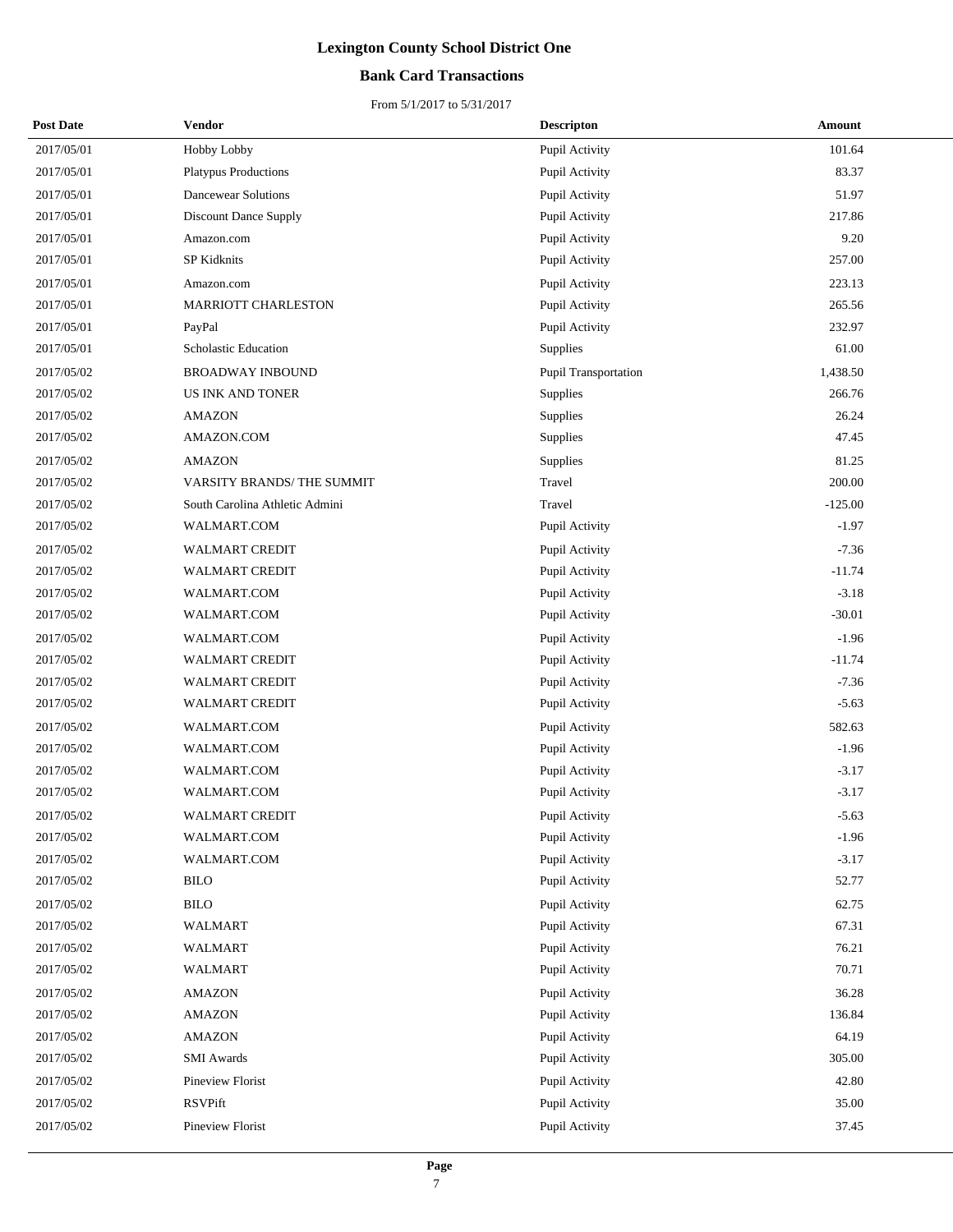### **Bank Card Transactions**

| <b>Post Date</b> | Vendor                         | <b>Descripton</b>    | Amount    |
|------------------|--------------------------------|----------------------|-----------|
| 2017/05/01       | Hobby Lobby                    | Pupil Activity       | 101.64    |
| 2017/05/01       | <b>Platypus Productions</b>    | Pupil Activity       | 83.37     |
| 2017/05/01       | <b>Dancewear Solutions</b>     | Pupil Activity       | 51.97     |
| 2017/05/01       | <b>Discount Dance Supply</b>   | Pupil Activity       | 217.86    |
| 2017/05/01       | Amazon.com                     | Pupil Activity       | 9.20      |
| 2017/05/01       | <b>SP Kidknits</b>             | Pupil Activity       | 257.00    |
| 2017/05/01       | Amazon.com                     | Pupil Activity       | 223.13    |
| 2017/05/01       | <b>MARRIOTT CHARLESTON</b>     | Pupil Activity       | 265.56    |
| 2017/05/01       | PayPal                         | Pupil Activity       | 232.97    |
| 2017/05/01       | Scholastic Education           | Supplies             | 61.00     |
| 2017/05/02       | <b>BROADWAY INBOUND</b>        | Pupil Transportation | 1,438.50  |
| 2017/05/02       | <b>US INK AND TONER</b>        | Supplies             | 266.76    |
| 2017/05/02       | <b>AMAZON</b>                  | Supplies             | 26.24     |
| 2017/05/02       | AMAZON.COM                     | Supplies             | 47.45     |
| 2017/05/02       | <b>AMAZON</b>                  | Supplies             | 81.25     |
| 2017/05/02       | VARSITY BRANDS/THE SUMMIT      | Travel               | 200.00    |
| 2017/05/02       | South Carolina Athletic Admini | Travel               | $-125.00$ |
| 2017/05/02       | WALMART.COM                    | Pupil Activity       | $-1.97$   |
| 2017/05/02       | WALMART CREDIT                 | Pupil Activity       | $-7.36$   |
| 2017/05/02       | <b>WALMART CREDIT</b>          | Pupil Activity       | $-11.74$  |
| 2017/05/02       | WALMART.COM                    | Pupil Activity       | $-3.18$   |
| 2017/05/02       | WALMART.COM                    | Pupil Activity       | $-30.01$  |
| 2017/05/02       | WALMART.COM                    | Pupil Activity       | $-1.96$   |
| 2017/05/02       | WALMART CREDIT                 | Pupil Activity       | $-11.74$  |
| 2017/05/02       | <b>WALMART CREDIT</b>          | Pupil Activity       | $-7.36$   |
| 2017/05/02       | <b>WALMART CREDIT</b>          | Pupil Activity       | $-5.63$   |
| 2017/05/02       | WALMART.COM                    | Pupil Activity       | 582.63    |
| 2017/05/02       | WALMART.COM                    | Pupil Activity       | $-1.96$   |
| 2017/05/02       | WALMART.COM                    | Pupil Activity       | $-3.17$   |
| 2017/05/02       | WALMART.COM                    | Pupil Activity       | $-3.17$   |
| 2017/05/02       | <b>WALMART CREDIT</b>          | Pupil Activity       | $-5.63$   |
| 2017/05/02       | WALMART.COM                    | Pupil Activity       | $-1.96$   |
| 2017/05/02       | WALMART.COM                    | Pupil Activity       | $-3.17$   |
| 2017/05/02       | <b>BILO</b>                    | Pupil Activity       | 52.77     |
| 2017/05/02       | <b>BILO</b>                    | Pupil Activity       | 62.75     |
| 2017/05/02       | WALMART                        | Pupil Activity       | 67.31     |
| 2017/05/02       | WALMART                        | Pupil Activity       | 76.21     |
| 2017/05/02       | WALMART                        | Pupil Activity       | 70.71     |
| 2017/05/02       | <b>AMAZON</b>                  | Pupil Activity       | 36.28     |
| 2017/05/02       | <b>AMAZON</b>                  | Pupil Activity       | 136.84    |
| 2017/05/02       | <b>AMAZON</b>                  | Pupil Activity       | 64.19     |
| 2017/05/02       | <b>SMI</b> Awards              | Pupil Activity       | 305.00    |
| 2017/05/02       | Pineview Florist               | Pupil Activity       | 42.80     |
| 2017/05/02       | RSVPift                        | Pupil Activity       | 35.00     |
| 2017/05/02       | Pineview Florist               | Pupil Activity       | 37.45     |
|                  |                                |                      |           |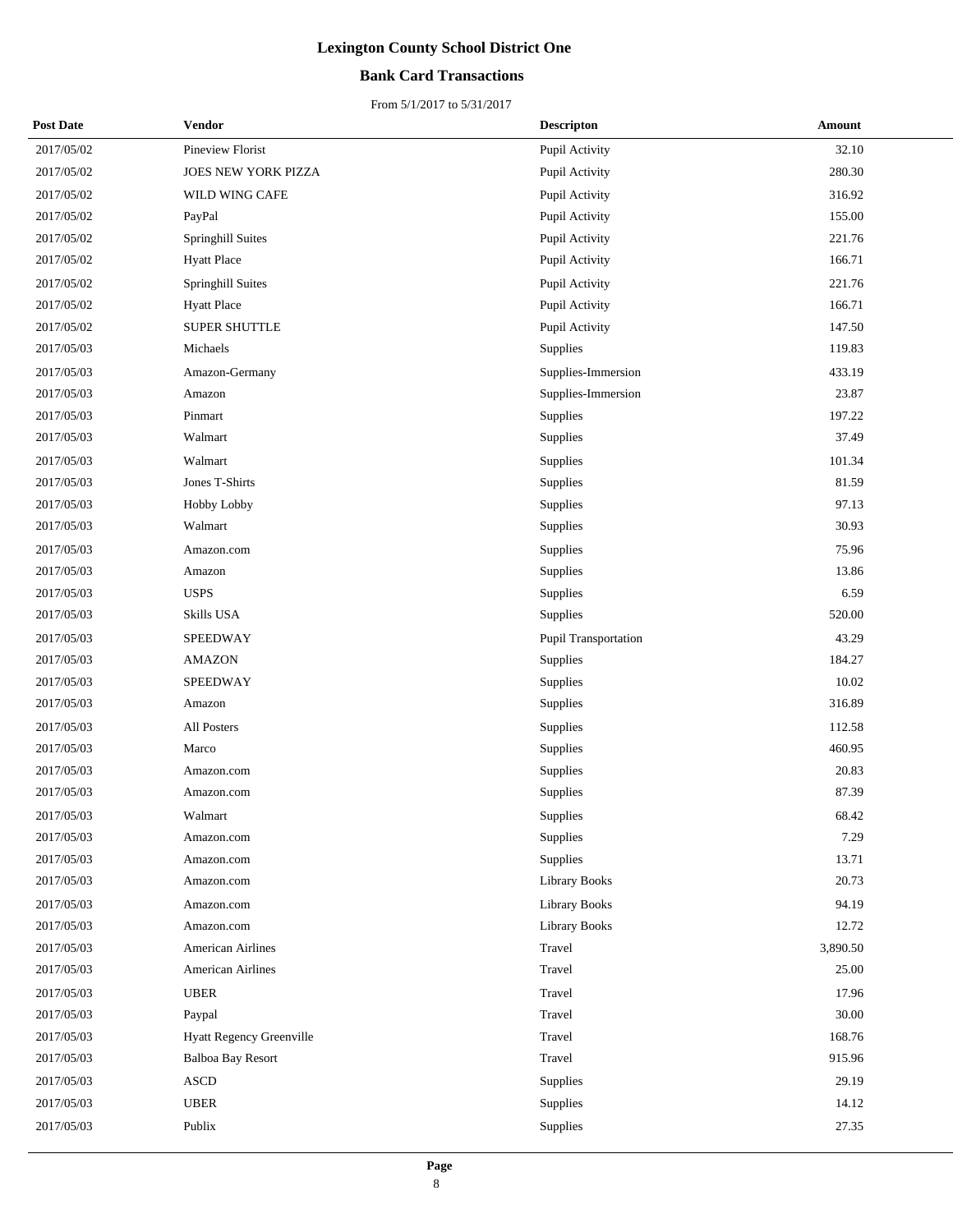### **Bank Card Transactions**

| <b>Post Date</b> | Vendor                   | <b>Descripton</b>    | Amount   |
|------------------|--------------------------|----------------------|----------|
| 2017/05/02       | Pineview Florist         | Pupil Activity       | 32.10    |
| 2017/05/02       | JOES NEW YORK PIZZA      | Pupil Activity       | 280.30   |
| 2017/05/02       | WILD WING CAFE           | Pupil Activity       | 316.92   |
| 2017/05/02       | PayPal                   | Pupil Activity       | 155.00   |
| 2017/05/02       | Springhill Suites        | Pupil Activity       | 221.76   |
| 2017/05/02       | <b>Hyatt Place</b>       | Pupil Activity       | 166.71   |
| 2017/05/02       | Springhill Suites        | Pupil Activity       | 221.76   |
| 2017/05/02       | <b>Hyatt Place</b>       | Pupil Activity       | 166.71   |
| 2017/05/02       | SUPER SHUTTLE            | Pupil Activity       | 147.50   |
| 2017/05/03       | Michaels                 | Supplies             | 119.83   |
| 2017/05/03       | Amazon-Germany           | Supplies-Immersion   | 433.19   |
| 2017/05/03       | Amazon                   | Supplies-Immersion   | 23.87    |
| 2017/05/03       | Pinmart                  | Supplies             | 197.22   |
| 2017/05/03       | Walmart                  | Supplies             | 37.49    |
| 2017/05/03       | Walmart                  | Supplies             | 101.34   |
| 2017/05/03       | Jones T-Shirts           | Supplies             | 81.59    |
| 2017/05/03       | Hobby Lobby              | Supplies             | 97.13    |
| 2017/05/03       | Walmart                  | Supplies             | 30.93    |
| 2017/05/03       | Amazon.com               | Supplies             | 75.96    |
| 2017/05/03       | Amazon                   | Supplies             | 13.86    |
| 2017/05/03       | <b>USPS</b>              | Supplies             | 6.59     |
| 2017/05/03       | Skills USA               | Supplies             | 520.00   |
| 2017/05/03       | SPEEDWAY                 | Pupil Transportation | 43.29    |
| 2017/05/03       | <b>AMAZON</b>            | Supplies             | 184.27   |
| 2017/05/03       | SPEEDWAY                 | Supplies             | 10.02    |
| 2017/05/03       | Amazon                   | Supplies             | 316.89   |
| 2017/05/03       | All Posters              | Supplies             | 112.58   |
| 2017/05/03       | Marco                    | Supplies             | 460.95   |
| 2017/05/03       | Amazon.com               | Supplies             | 20.83    |
| 2017/05/03       | Amazon.com               | Supplies             | 87.39    |
| 2017/05/03       | Walmart                  | Supplies             | 68.42    |
| 2017/05/03       | Amazon.com               | Supplies             | 7.29     |
| 2017/05/03       | Amazon.com               | Supplies             | 13.71    |
| 2017/05/03       | Amazon.com               | Library Books        | 20.73    |
| 2017/05/03       | Amazon.com               | <b>Library Books</b> | 94.19    |
| 2017/05/03       | Amazon.com               | <b>Library Books</b> | 12.72    |
| 2017/05/03       | American Airlines        | Travel               | 3,890.50 |
| 2017/05/03       | <b>American Airlines</b> | Travel               | 25.00    |
| 2017/05/03       | <b>UBER</b>              | Travel               | 17.96    |
| 2017/05/03       | Paypal                   | Travel               | 30.00    |
| 2017/05/03       | Hyatt Regency Greenville | Travel               | 168.76   |
| 2017/05/03       | Balboa Bay Resort        | Travel               | 915.96   |
| 2017/05/03       | <b>ASCD</b>              | Supplies             | 29.19    |
| 2017/05/03       | <b>UBER</b>              | Supplies             | 14.12    |
| 2017/05/03       | Publix                   | Supplies             | 27.35    |
|                  |                          |                      |          |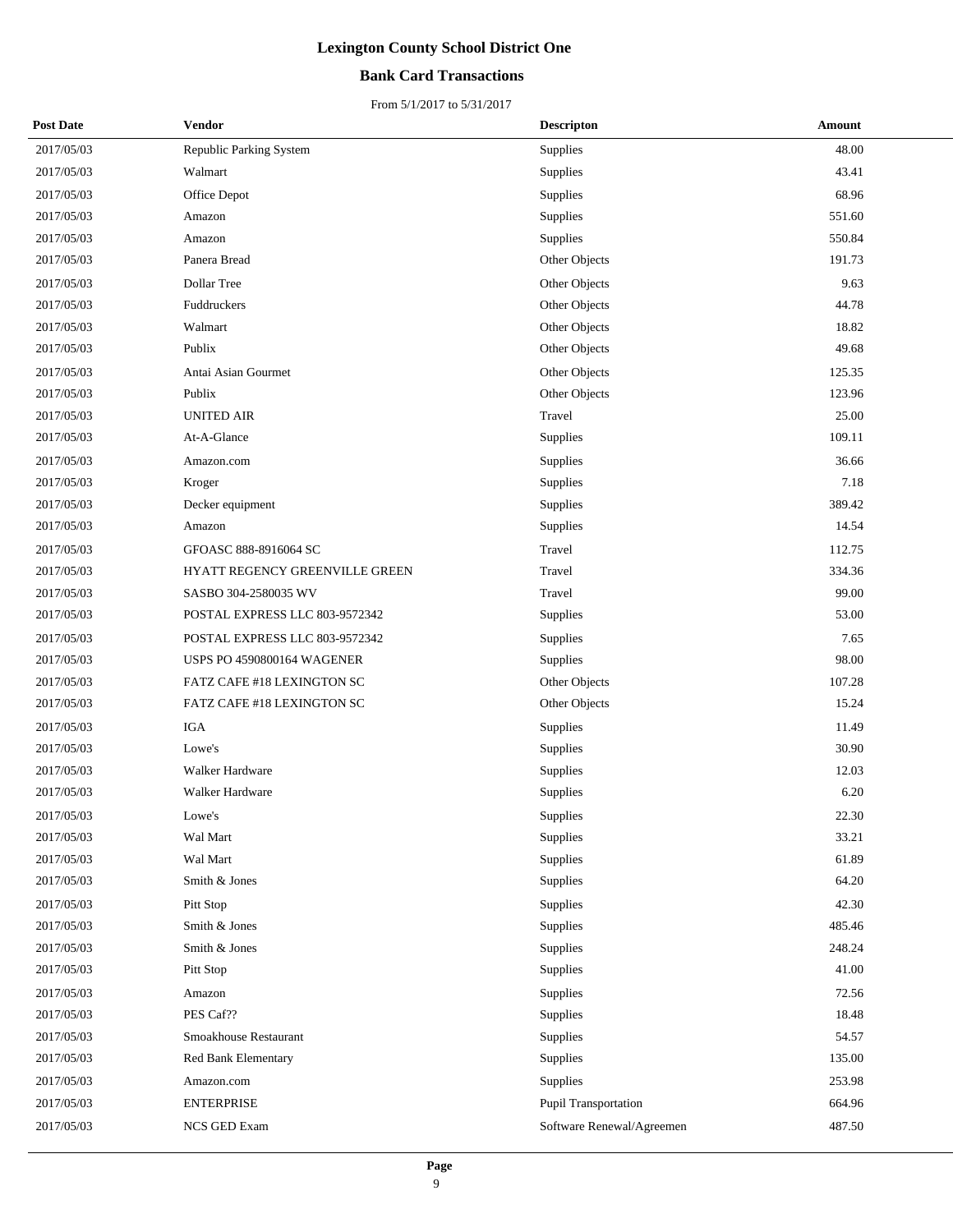### **Bank Card Transactions**

| <b>Post Date</b> | Vendor                            | <b>Descripton</b>         | Amount |
|------------------|-----------------------------------|---------------------------|--------|
| 2017/05/03       | <b>Republic Parking System</b>    | Supplies                  | 48.00  |
| 2017/05/03       | Walmart                           | Supplies                  | 43.41  |
| 2017/05/03       | Office Depot                      | Supplies                  | 68.96  |
| 2017/05/03       | Amazon                            | Supplies                  | 551.60 |
| 2017/05/03       | Amazon                            | Supplies                  | 550.84 |
| 2017/05/03       | Panera Bread                      | Other Objects             | 191.73 |
| 2017/05/03       | Dollar Tree                       | Other Objects             | 9.63   |
| 2017/05/03       | Fuddruckers                       | Other Objects             | 44.78  |
| 2017/05/03       | Walmart                           | Other Objects             | 18.82  |
| 2017/05/03       | Publix                            | Other Objects             | 49.68  |
| 2017/05/03       | Antai Asian Gourmet               | Other Objects             | 125.35 |
| 2017/05/03       | Publix                            | Other Objects             | 123.96 |
| 2017/05/03       | <b>UNITED AIR</b>                 | Travel                    | 25.00  |
| 2017/05/03       | At-A-Glance                       | Supplies                  | 109.11 |
| 2017/05/03       | Amazon.com                        | Supplies                  | 36.66  |
| 2017/05/03       | Kroger                            | Supplies                  | 7.18   |
| 2017/05/03       | Decker equipment                  | Supplies                  | 389.42 |
| 2017/05/03       | Amazon                            | Supplies                  | 14.54  |
| 2017/05/03       | GFOASC 888-8916064 SC             | Travel                    | 112.75 |
| 2017/05/03       | HYATT REGENCY GREENVILLE GREEN    | Travel                    | 334.36 |
| 2017/05/03       | SASBO 304-2580035 WV              | Travel                    | 99.00  |
| 2017/05/03       | POSTAL EXPRESS LLC 803-9572342    | <b>Supplies</b>           | 53.00  |
| 2017/05/03       | POSTAL EXPRESS LLC 803-9572342    | Supplies                  | 7.65   |
| 2017/05/03       | <b>USPS PO 4590800164 WAGENER</b> | Supplies                  | 98.00  |
| 2017/05/03       | FATZ CAFE #18 LEXINGTON SC        | Other Objects             | 107.28 |
| 2017/05/03       | FATZ CAFE #18 LEXINGTON SC        | Other Objects             | 15.24  |
| 2017/05/03       | <b>IGA</b>                        | Supplies                  | 11.49  |
| 2017/05/03       | Lowe's                            | Supplies                  | 30.90  |
| 2017/05/03       | Walker Hardware                   | Supplies                  | 12.03  |
| 2017/05/03       | Walker Hardware                   | Supplies                  | 6.20   |
| 2017/05/03       | Lowe's                            | Supplies                  | 22.30  |
| 2017/05/03       | Wal Mart                          | Supplies                  | 33.21  |
| 2017/05/03       | Wal Mart                          | Supplies                  | 61.89  |
| 2017/05/03       | Smith & Jones                     | Supplies                  | 64.20  |
| 2017/05/03       | Pitt Stop                         | Supplies                  | 42.30  |
| 2017/05/03       | Smith & Jones                     | Supplies                  | 485.46 |
| 2017/05/03       | Smith & Jones                     | Supplies                  | 248.24 |
| 2017/05/03       | Pitt Stop                         | Supplies                  | 41.00  |
| 2017/05/03       | Amazon                            | Supplies                  | 72.56  |
| 2017/05/03       | PES Caf??                         | Supplies                  | 18.48  |
| 2017/05/03       | Smoakhouse Restaurant             | Supplies                  | 54.57  |
| 2017/05/03       | Red Bank Elementary               | Supplies                  | 135.00 |
| 2017/05/03       | Amazon.com                        | Supplies                  | 253.98 |
| 2017/05/03       | <b>ENTERPRISE</b>                 | Pupil Transportation      | 664.96 |
| 2017/05/03       | NCS GED Exam                      | Software Renewal/Agreemen | 487.50 |
|                  |                                   |                           |        |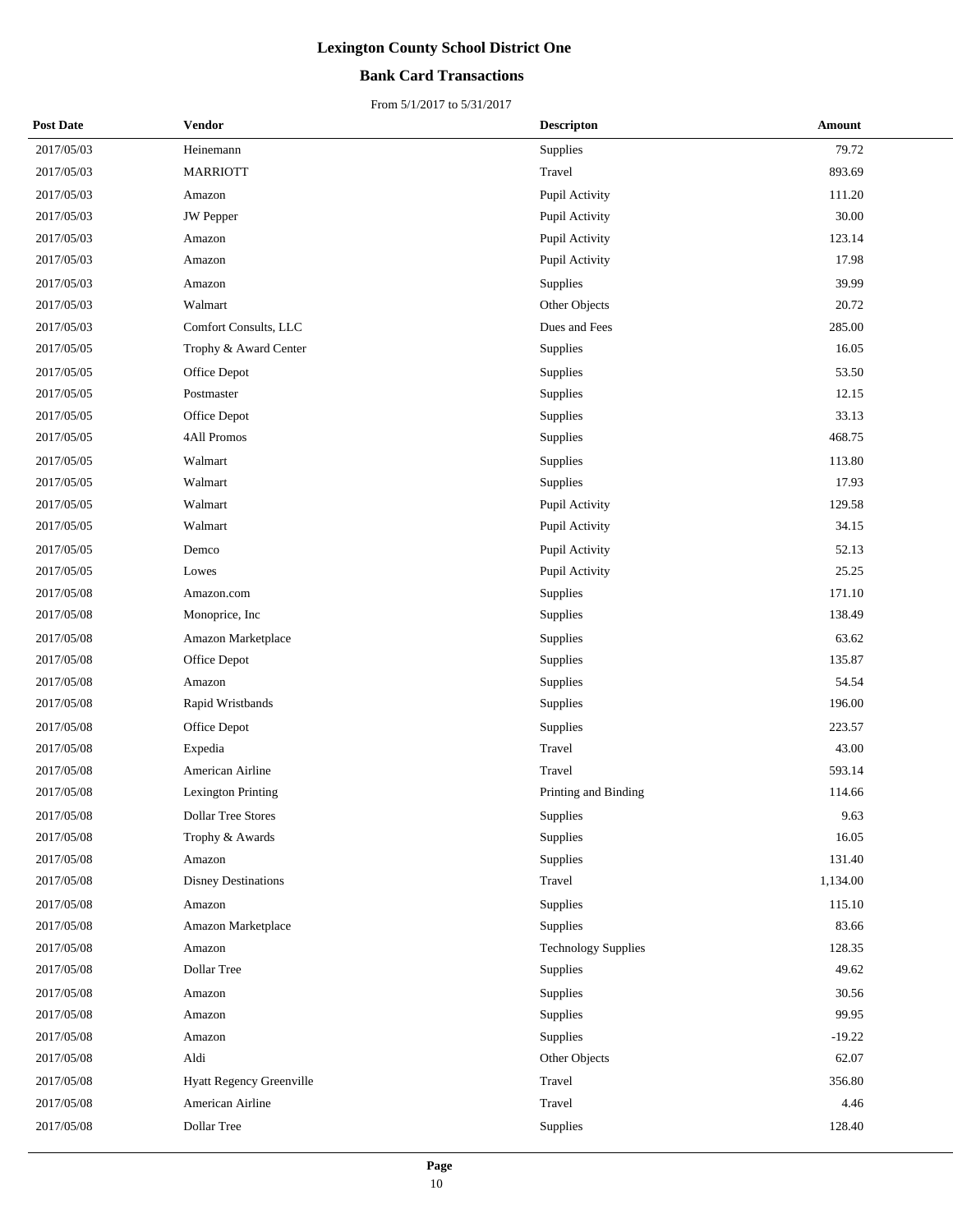### **Bank Card Transactions**

| <b>Post Date</b> | Vendor                    | <b>Descripton</b>          | Amount   |
|------------------|---------------------------|----------------------------|----------|
| 2017/05/03       | Heinemann                 | Supplies                   | 79.72    |
| 2017/05/03       | <b>MARRIOTT</b>           | Travel                     | 893.69   |
| 2017/05/03       | Amazon                    | Pupil Activity             | 111.20   |
| 2017/05/03       | <b>JW</b> Pepper          | Pupil Activity             | 30.00    |
| 2017/05/03       | Amazon                    | Pupil Activity             | 123.14   |
| 2017/05/03       | Amazon                    | Pupil Activity             | 17.98    |
| 2017/05/03       | Amazon                    | <b>Supplies</b>            | 39.99    |
| 2017/05/03       | Walmart                   | Other Objects              | 20.72    |
| 2017/05/03       | Comfort Consults, LLC     | Dues and Fees              | 285.00   |
| 2017/05/05       | Trophy & Award Center     | Supplies                   | 16.05    |
| 2017/05/05       | Office Depot              | Supplies                   | 53.50    |
| 2017/05/05       | Postmaster                | <b>Supplies</b>            | 12.15    |
| 2017/05/05       | Office Depot              | Supplies                   | 33.13    |
| 2017/05/05       | 4All Promos               | Supplies                   | 468.75   |
| 2017/05/05       | Walmart                   | Supplies                   | 113.80   |
| 2017/05/05       | Walmart                   | Supplies                   | 17.93    |
| 2017/05/05       | Walmart                   | Pupil Activity             | 129.58   |
| 2017/05/05       | Walmart                   | Pupil Activity             | 34.15    |
| 2017/05/05       | Demco                     | Pupil Activity             | 52.13    |
| 2017/05/05       | Lowes                     | Pupil Activity             | 25.25    |
| 2017/05/08       | Amazon.com                | Supplies                   | 171.10   |
| 2017/05/08       | Monoprice, Inc            | Supplies                   | 138.49   |
| 2017/05/08       | Amazon Marketplace        | Supplies                   | 63.62    |
| 2017/05/08       | Office Depot              | Supplies                   | 135.87   |
| 2017/05/08       | Amazon                    | Supplies                   | 54.54    |
| 2017/05/08       | Rapid Wristbands          | Supplies                   | 196.00   |
| 2017/05/08       | Office Depot              | Supplies                   | 223.57   |
| 2017/05/08       | Expedia                   | Travel                     | 43.00    |
| 2017/05/08       | American Airline          | Travel                     | 593.14   |
| 2017/05/08       | <b>Lexington Printing</b> | Printing and Binding       | 114.66   |
| 2017/05/08       | <b>Dollar Tree Stores</b> | Supplies                   | 9.63     |
| 2017/05/08       | Trophy & Awards           | Supplies                   | 16.05    |
| 2017/05/08       | Amazon                    | Supplies                   | 131.40   |
| 2017/05/08       | Disney Destinations       | Travel                     | 1,134.00 |
| 2017/05/08       | Amazon                    | Supplies                   | 115.10   |
| 2017/05/08       | Amazon Marketplace        | Supplies                   | 83.66    |
| 2017/05/08       | Amazon                    | <b>Technology Supplies</b> | 128.35   |
| 2017/05/08       | Dollar Tree               | Supplies                   | 49.62    |
| 2017/05/08       | Amazon                    | Supplies                   | 30.56    |
| 2017/05/08       | Amazon                    | Supplies                   | 99.95    |
| 2017/05/08       | Amazon                    | Supplies                   | $-19.22$ |
| 2017/05/08       | Aldi                      | Other Objects              | 62.07    |
| 2017/05/08       | Hyatt Regency Greenville  | Travel                     | 356.80   |
| 2017/05/08       | American Airline          | Travel                     | 4.46     |
| 2017/05/08       | Dollar Tree               | Supplies                   | 128.40   |
|                  |                           |                            |          |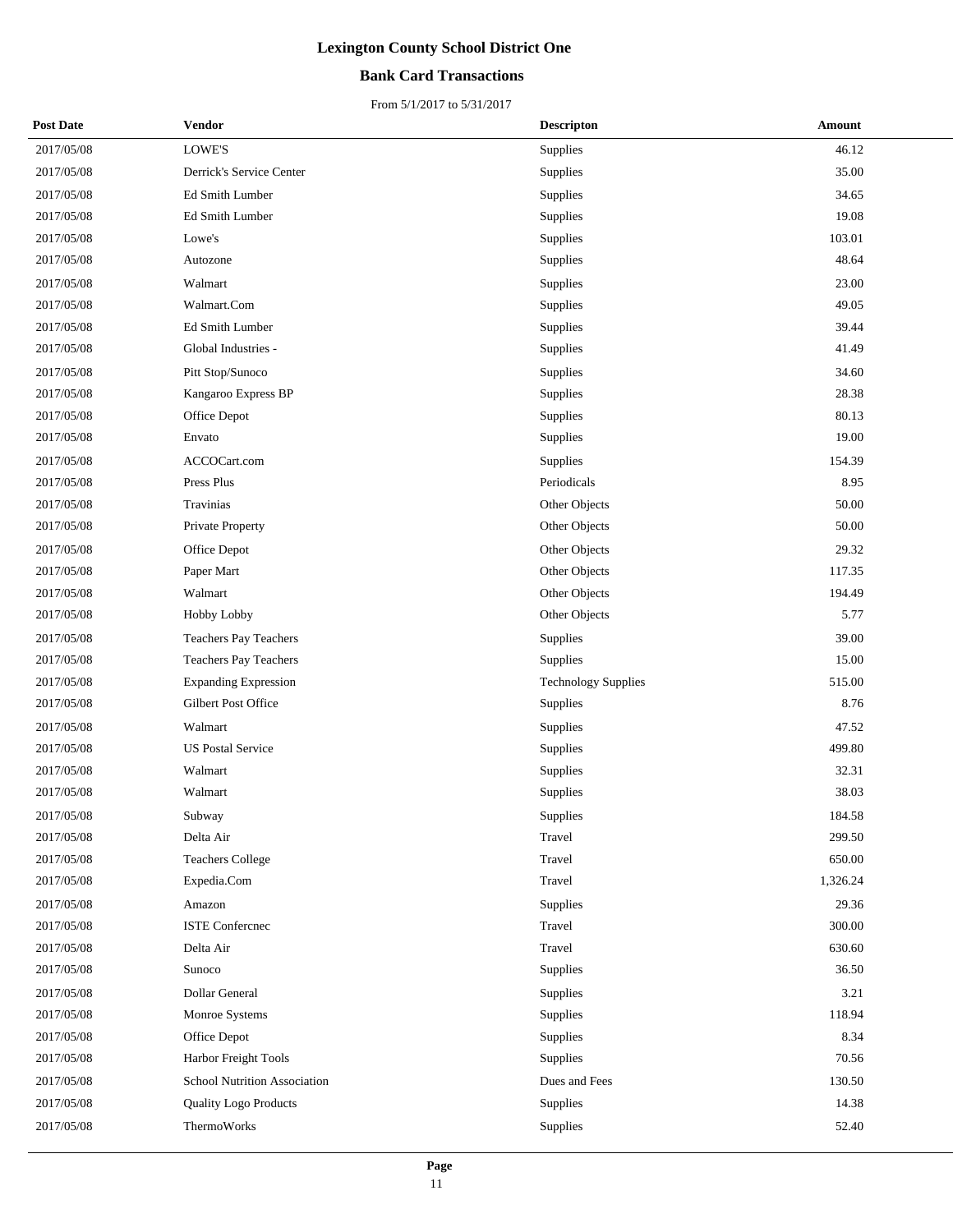### **Bank Card Transactions**

| <b>Post Date</b> | Vendor                       | <b>Descripton</b>          | Amount   |
|------------------|------------------------------|----------------------------|----------|
| 2017/05/08       | LOWE'S                       | Supplies                   | 46.12    |
| 2017/05/08       | Derrick's Service Center     | Supplies                   | 35.00    |
| 2017/05/08       | Ed Smith Lumber              | Supplies                   | 34.65    |
| 2017/05/08       | Ed Smith Lumber              | Supplies                   | 19.08    |
| 2017/05/08       | Lowe's                       | Supplies                   | 103.01   |
| 2017/05/08       | Autozone                     | Supplies                   | 48.64    |
| 2017/05/08       | Walmart                      | Supplies                   | 23.00    |
| 2017/05/08       | Walmart.Com                  | Supplies                   | 49.05    |
| 2017/05/08       | Ed Smith Lumber              | Supplies                   | 39.44    |
| 2017/05/08       | Global Industries -          | Supplies                   | 41.49    |
| 2017/05/08       | Pitt Stop/Sunoco             | Supplies                   | 34.60    |
| 2017/05/08       | Kangaroo Express BP          | Supplies                   | 28.38    |
| 2017/05/08       | Office Depot                 | Supplies                   | 80.13    |
| 2017/05/08       | Envato                       | Supplies                   | 19.00    |
| 2017/05/08       | ACCOCart.com                 | Supplies                   | 154.39   |
| 2017/05/08       | Press Plus                   | Periodicals                | 8.95     |
| 2017/05/08       | Travinias                    | Other Objects              | 50.00    |
| 2017/05/08       | Private Property             | Other Objects              | 50.00    |
| 2017/05/08       | Office Depot                 | Other Objects              | 29.32    |
| 2017/05/08       | Paper Mart                   | Other Objects              | 117.35   |
| 2017/05/08       | Walmart                      | Other Objects              | 194.49   |
| 2017/05/08       | <b>Hobby Lobby</b>           | Other Objects              | 5.77     |
| 2017/05/08       | Teachers Pay Teachers        | Supplies                   | 39.00    |
| 2017/05/08       | Teachers Pay Teachers        | Supplies                   | 15.00    |
| 2017/05/08       | <b>Expanding Expression</b>  | <b>Technology Supplies</b> | 515.00   |
| 2017/05/08       | Gilbert Post Office          | Supplies                   | 8.76     |
| 2017/05/08       | Walmart                      | Supplies                   | 47.52    |
| 2017/05/08       | <b>US Postal Service</b>     | Supplies                   | 499.80   |
| 2017/05/08       | Walmart                      | Supplies                   | 32.31    |
| 2017/05/08       | Walmart                      | Supplies                   | 38.03    |
| 2017/05/08       | Subway                       | Supplies                   | 184.58   |
| 2017/05/08       | Delta Air                    | Travel                     | 299.50   |
| 2017/05/08       | <b>Teachers College</b>      | Travel                     | 650.00   |
| 2017/05/08       | Expedia.Com                  | Travel                     | 1,326.24 |
| 2017/05/08       | Amazon                       | Supplies                   | 29.36    |
| 2017/05/08       | <b>ISTE Conference</b>       | Travel                     | 300.00   |
| 2017/05/08       | Delta Air                    | Travel                     | 630.60   |
| 2017/05/08       | Sunoco                       | Supplies                   | 36.50    |
| 2017/05/08       | Dollar General               | Supplies                   | 3.21     |
| 2017/05/08       | Monroe Systems               | Supplies                   | 118.94   |
| 2017/05/08       | Office Depot                 | Supplies                   | 8.34     |
| 2017/05/08       | Harbor Freight Tools         | Supplies                   | 70.56    |
| 2017/05/08       | School Nutrition Association | Dues and Fees              | 130.50   |
| 2017/05/08       | <b>Quality Logo Products</b> | Supplies                   | 14.38    |
| 2017/05/08       | ThermoWorks                  | Supplies                   | 52.40    |
|                  |                              |                            |          |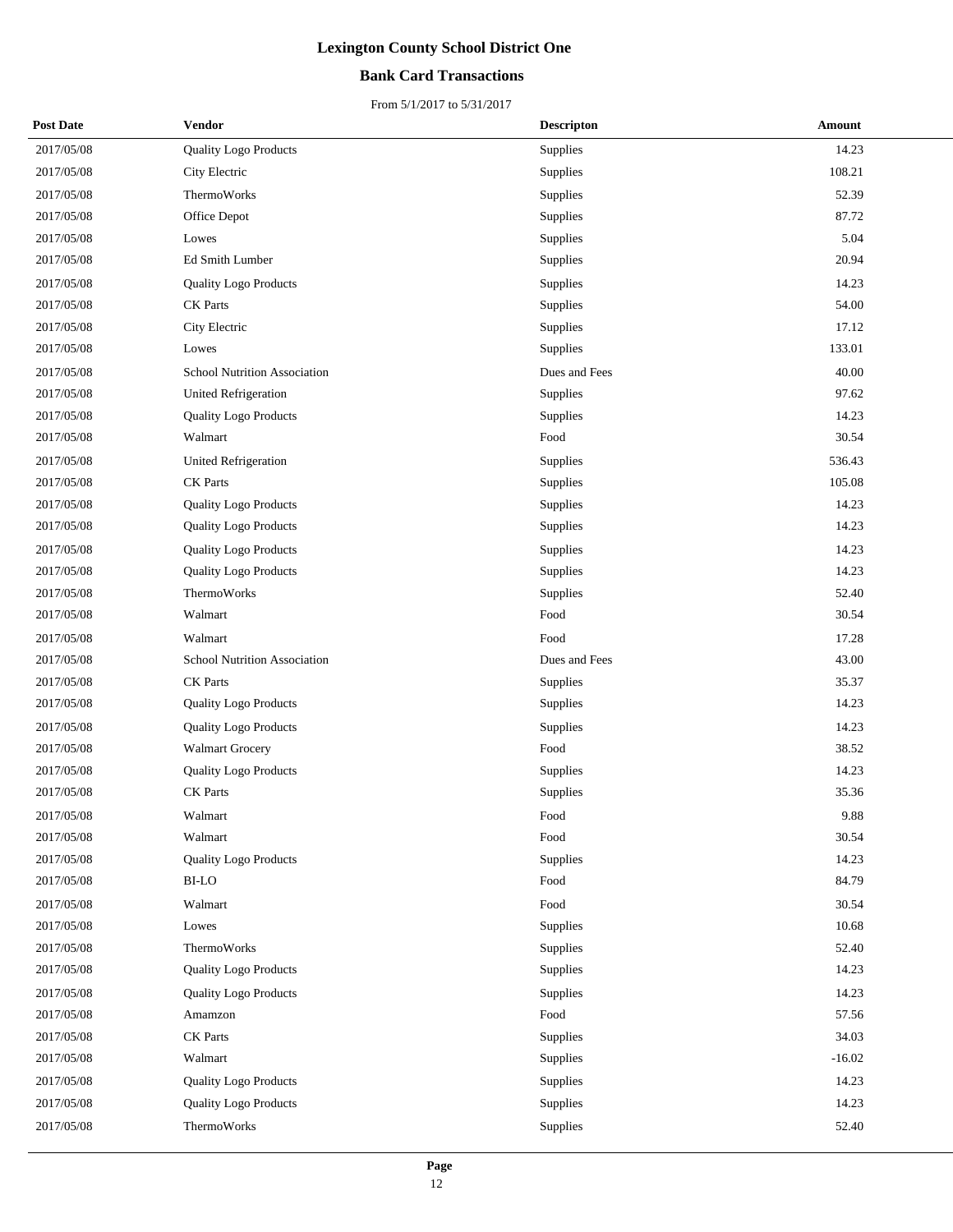### **Bank Card Transactions**

| <b>Post Date</b> | Vendor                              | <b>Descripton</b> | Amount   |
|------------------|-------------------------------------|-------------------|----------|
| 2017/05/08       | <b>Quality Logo Products</b>        | Supplies          | 14.23    |
| 2017/05/08       | City Electric                       | Supplies          | 108.21   |
| 2017/05/08       | ThermoWorks                         | Supplies          | 52.39    |
| 2017/05/08       | Office Depot                        | Supplies          | 87.72    |
| 2017/05/08       | Lowes                               | Supplies          | 5.04     |
| 2017/05/08       | Ed Smith Lumber                     | Supplies          | 20.94    |
| 2017/05/08       | <b>Quality Logo Products</b>        | Supplies          | 14.23    |
| 2017/05/08       | <b>CK</b> Parts                     | Supplies          | 54.00    |
| 2017/05/08       | City Electric                       | Supplies          | 17.12    |
| 2017/05/08       | Lowes                               | Supplies          | 133.01   |
| 2017/05/08       | <b>School Nutrition Association</b> | Dues and Fees     | 40.00    |
| 2017/05/08       | <b>United Refrigeration</b>         | Supplies          | 97.62    |
| 2017/05/08       | <b>Quality Logo Products</b>        | Supplies          | 14.23    |
| 2017/05/08       | Walmart                             | Food              | 30.54    |
| 2017/05/08       | <b>United Refrigeration</b>         | Supplies          | 536.43   |
| 2017/05/08       | <b>CK</b> Parts                     | Supplies          | 105.08   |
| 2017/05/08       | Quality Logo Products               | Supplies          | 14.23    |
| 2017/05/08       | <b>Quality Logo Products</b>        | Supplies          | 14.23    |
| 2017/05/08       | <b>Quality Logo Products</b>        | Supplies          | 14.23    |
| 2017/05/08       | <b>Quality Logo Products</b>        | Supplies          | 14.23    |
| 2017/05/08       | ThermoWorks                         | Supplies          | 52.40    |
| 2017/05/08       | Walmart                             | Food              | 30.54    |
| 2017/05/08       | Walmart                             | Food              | 17.28    |
| 2017/05/08       | <b>School Nutrition Association</b> | Dues and Fees     | 43.00    |
| 2017/05/08       | <b>CK</b> Parts                     | Supplies          | 35.37    |
| 2017/05/08       | <b>Quality Logo Products</b>        | Supplies          | 14.23    |
| 2017/05/08       | <b>Quality Logo Products</b>        | Supplies          | 14.23    |
| 2017/05/08       | <b>Walmart Grocery</b>              | Food              | 38.52    |
| 2017/05/08       | <b>Quality Logo Products</b>        | Supplies          | 14.23    |
| 2017/05/08       | <b>CK</b> Parts                     | Supplies          | 35.36    |
| 2017/05/08       | Walmart                             | Food              | 9.88     |
| 2017/05/08       | Walmart                             | Food              | 30.54    |
| 2017/05/08       | Quality Logo Products               | Supplies          | 14.23    |
| 2017/05/08       | <b>BI-LO</b>                        | Food              | 84.79    |
| 2017/05/08       | Walmart                             | Food              | 30.54    |
| 2017/05/08       | Lowes                               | Supplies          | 10.68    |
| 2017/05/08       | ThermoWorks                         | Supplies          | 52.40    |
| 2017/05/08       | <b>Quality Logo Products</b>        | Supplies          | 14.23    |
| 2017/05/08       | <b>Quality Logo Products</b>        | Supplies          | 14.23    |
| 2017/05/08       | Amamzon                             | Food              | 57.56    |
| 2017/05/08       | <b>CK</b> Parts                     | Supplies          | 34.03    |
| 2017/05/08       | Walmart                             | Supplies          | $-16.02$ |
| 2017/05/08       | <b>Quality Logo Products</b>        | Supplies          | 14.23    |
| 2017/05/08       | <b>Quality Logo Products</b>        | Supplies          | 14.23    |
| 2017/05/08       | ThermoWorks                         | Supplies          | 52.40    |
|                  |                                     |                   |          |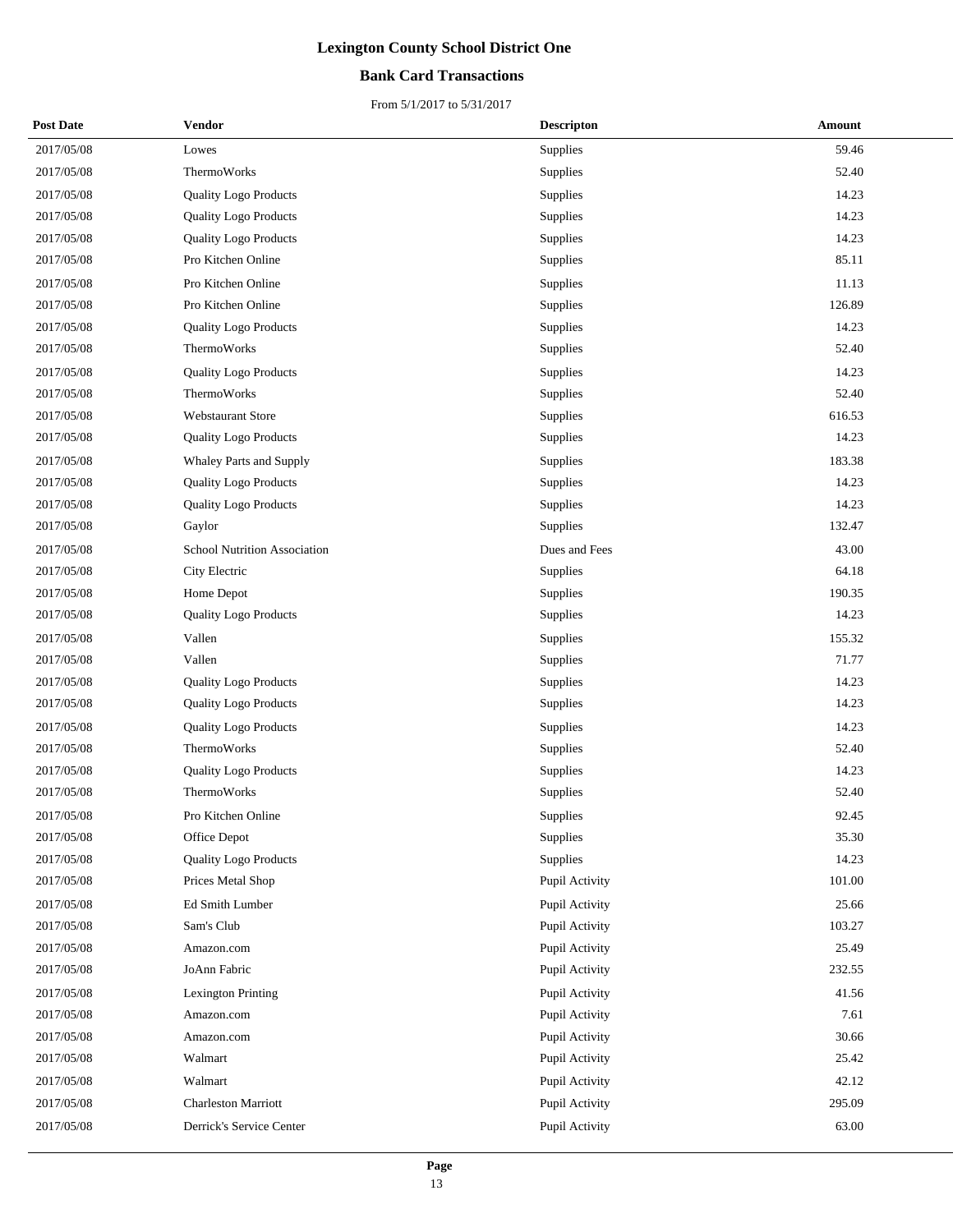### **Bank Card Transactions**

| <b>Post Date</b> | <b>Vendor</b>                       | <b>Descripton</b> | Amount |
|------------------|-------------------------------------|-------------------|--------|
| 2017/05/08       | Lowes                               | Supplies          | 59.46  |
| 2017/05/08       | ThermoWorks                         | Supplies          | 52.40  |
| 2017/05/08       | <b>Quality Logo Products</b>        | Supplies          | 14.23  |
| 2017/05/08       | <b>Quality Logo Products</b>        | Supplies          | 14.23  |
| 2017/05/08       | <b>Quality Logo Products</b>        | Supplies          | 14.23  |
| 2017/05/08       | Pro Kitchen Online                  | Supplies          | 85.11  |
| 2017/05/08       | Pro Kitchen Online                  | Supplies          | 11.13  |
| 2017/05/08       | Pro Kitchen Online                  | Supplies          | 126.89 |
| 2017/05/08       | <b>Quality Logo Products</b>        | Supplies          | 14.23  |
| 2017/05/08       | ThermoWorks                         | Supplies          | 52.40  |
| 2017/05/08       | <b>Quality Logo Products</b>        | Supplies          | 14.23  |
| 2017/05/08       | ThermoWorks                         | Supplies          | 52.40  |
| 2017/05/08       | <b>Webstaurant Store</b>            | Supplies          | 616.53 |
| 2017/05/08       | <b>Quality Logo Products</b>        | Supplies          | 14.23  |
| 2017/05/08       | Whaley Parts and Supply             | Supplies          | 183.38 |
| 2017/05/08       | <b>Quality Logo Products</b>        | Supplies          | 14.23  |
| 2017/05/08       | <b>Quality Logo Products</b>        | Supplies          | 14.23  |
| 2017/05/08       | Gaylor                              | Supplies          | 132.47 |
| 2017/05/08       | <b>School Nutrition Association</b> | Dues and Fees     | 43.00  |
| 2017/05/08       | City Electric                       | Supplies          | 64.18  |
| 2017/05/08       | Home Depot                          | Supplies          | 190.35 |
| 2017/05/08       | <b>Quality Logo Products</b>        | Supplies          | 14.23  |
| 2017/05/08       | Vallen                              | Supplies          | 155.32 |
| 2017/05/08       | Vallen                              | Supplies          | 71.77  |
| 2017/05/08       | <b>Quality Logo Products</b>        | Supplies          | 14.23  |
| 2017/05/08       | <b>Quality Logo Products</b>        | Supplies          | 14.23  |
| 2017/05/08       | <b>Quality Logo Products</b>        | Supplies          | 14.23  |
| 2017/05/08       | <b>ThermoWorks</b>                  | Supplies          | 52.40  |
| 2017/05/08       | <b>Quality Logo Products</b>        | Supplies          | 14.23  |
| 2017/05/08       | ThermoWorks                         | Supplies          | 52.40  |
| 2017/05/08       | Pro Kitchen Online                  | Supplies          | 92.45  |
| 2017/05/08       | Office Depot                        | Supplies          | 35.30  |
| 2017/05/08       | <b>Quality Logo Products</b>        | Supplies          | 14.23  |
| 2017/05/08       | Prices Metal Shop                   | Pupil Activity    | 101.00 |
| 2017/05/08       | Ed Smith Lumber                     | Pupil Activity    | 25.66  |
| 2017/05/08       | Sam's Club                          | Pupil Activity    | 103.27 |
| 2017/05/08       | Amazon.com                          | Pupil Activity    | 25.49  |
| 2017/05/08       | JoAnn Fabric                        | Pupil Activity    | 232.55 |
| 2017/05/08       | <b>Lexington Printing</b>           | Pupil Activity    | 41.56  |
| 2017/05/08       | Amazon.com                          | Pupil Activity    | 7.61   |
| 2017/05/08       | Amazon.com                          | Pupil Activity    | 30.66  |
| 2017/05/08       | Walmart                             | Pupil Activity    | 25.42  |
| 2017/05/08       | Walmart                             | Pupil Activity    | 42.12  |
| 2017/05/08       | <b>Charleston Marriott</b>          | Pupil Activity    | 295.09 |
| 2017/05/08       | Derrick's Service Center            | Pupil Activity    | 63.00  |
|                  |                                     |                   |        |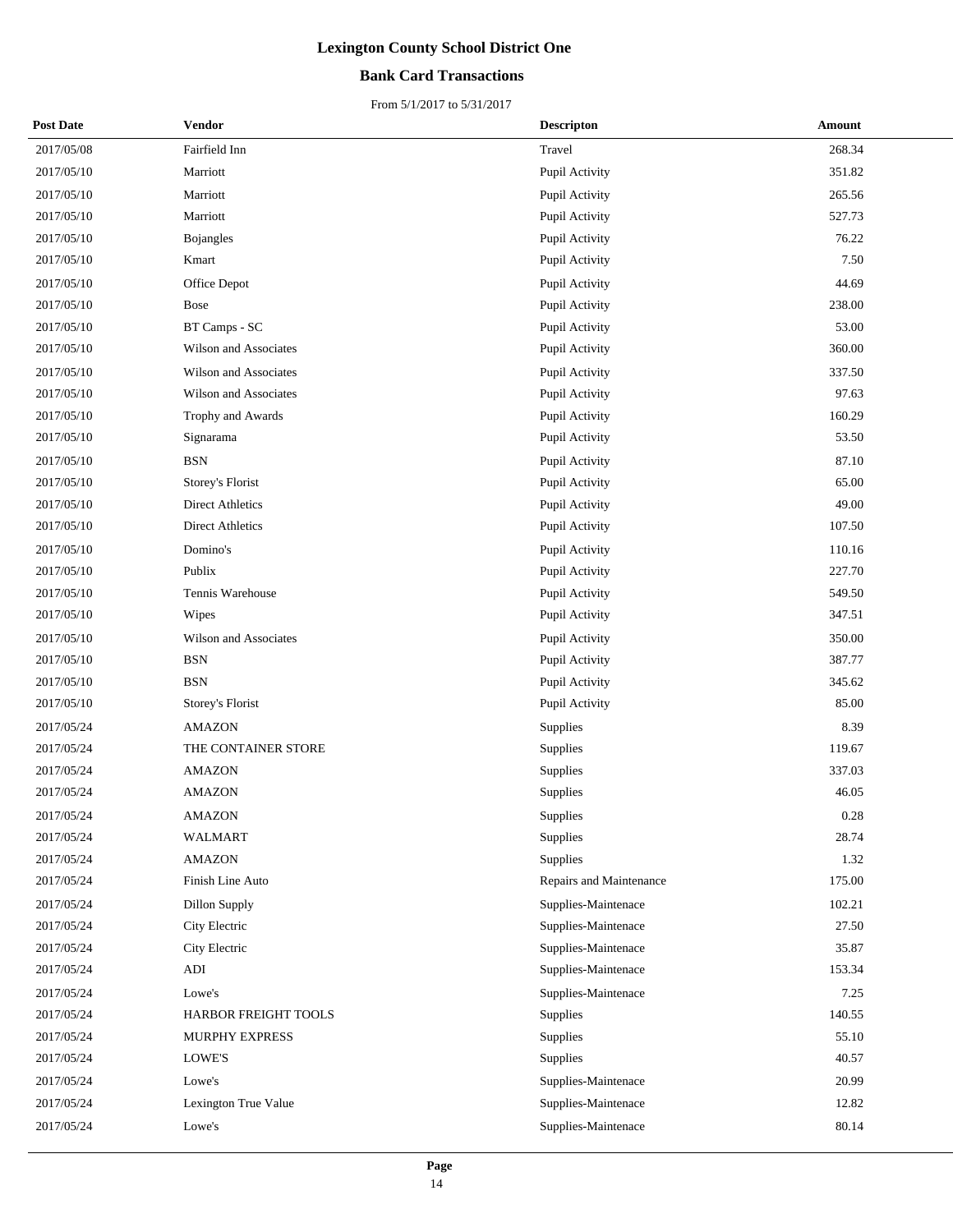### **Bank Card Transactions**

| <b>Post Date</b> | <b>Vendor</b>           | <b>Descripton</b>       | Amount |
|------------------|-------------------------|-------------------------|--------|
| 2017/05/08       | Fairfield Inn           | Travel                  | 268.34 |
| 2017/05/10       | Marriott                | Pupil Activity          | 351.82 |
| 2017/05/10       | Marriott                | Pupil Activity          | 265.56 |
| 2017/05/10       | Marriott                | Pupil Activity          | 527.73 |
| 2017/05/10       | <b>Bojangles</b>        | Pupil Activity          | 76.22  |
| 2017/05/10       | Kmart                   | Pupil Activity          | 7.50   |
| 2017/05/10       | Office Depot            | Pupil Activity          | 44.69  |
| 2017/05/10       | Bose                    | Pupil Activity          | 238.00 |
| 2017/05/10       | BT Camps - SC           | Pupil Activity          | 53.00  |
| 2017/05/10       | Wilson and Associates   | Pupil Activity          | 360.00 |
| 2017/05/10       | Wilson and Associates   | Pupil Activity          | 337.50 |
| 2017/05/10       | Wilson and Associates   | Pupil Activity          | 97.63  |
| 2017/05/10       | Trophy and Awards       | Pupil Activity          | 160.29 |
| 2017/05/10       | Signarama               | Pupil Activity          | 53.50  |
| 2017/05/10       | <b>BSN</b>              | Pupil Activity          | 87.10  |
| 2017/05/10       | Storey's Florist        | Pupil Activity          | 65.00  |
| 2017/05/10       | <b>Direct Athletics</b> | Pupil Activity          | 49.00  |
| 2017/05/10       | <b>Direct Athletics</b> | Pupil Activity          | 107.50 |
| 2017/05/10       | Domino's                | Pupil Activity          | 110.16 |
| 2017/05/10       | Publix                  | Pupil Activity          | 227.70 |
| 2017/05/10       | Tennis Warehouse        | Pupil Activity          | 549.50 |
| 2017/05/10       | Wipes                   | Pupil Activity          | 347.51 |
| 2017/05/10       | Wilson and Associates   | Pupil Activity          | 350.00 |
| 2017/05/10       | <b>BSN</b>              | Pupil Activity          | 387.77 |
| 2017/05/10       | <b>BSN</b>              | Pupil Activity          | 345.62 |
| 2017/05/10       | Storey's Florist        | Pupil Activity          | 85.00  |
| 2017/05/24       | <b>AMAZON</b>           | Supplies                | 8.39   |
| 2017/05/24       | THE CONTAINER STORE     | Supplies                | 119.67 |
| 2017/05/24       | <b>AMAZON</b>           | Supplies                | 337.03 |
| 2017/05/24       | <b>AMAZON</b>           | Supplies                | 46.05  |
| 2017/05/24       | <b>AMAZON</b>           | Supplies                | 0.28   |
| 2017/05/24       | WALMART                 | Supplies                | 28.74  |
| 2017/05/24       | <b>AMAZON</b>           | Supplies                | 1.32   |
| 2017/05/24       | Finish Line Auto        | Repairs and Maintenance | 175.00 |
| 2017/05/24       | Dillon Supply           | Supplies-Maintenace     | 102.21 |
| 2017/05/24       | City Electric           | Supplies-Maintenace     | 27.50  |
| 2017/05/24       | City Electric           | Supplies-Maintenace     | 35.87  |
| 2017/05/24       | ADI                     | Supplies-Maintenace     | 153.34 |
| 2017/05/24       | Lowe's                  | Supplies-Maintenace     | 7.25   |
| 2017/05/24       | HARBOR FREIGHT TOOLS    | Supplies                | 140.55 |
| 2017/05/24       | MURPHY EXPRESS          | Supplies                | 55.10  |
| 2017/05/24       | LOWE'S                  | Supplies                | 40.57  |
| 2017/05/24       | Lowe's                  | Supplies-Maintenace     | 20.99  |
| 2017/05/24       | Lexington True Value    | Supplies-Maintenace     | 12.82  |
|                  |                         |                         |        |
| 2017/05/24       | Lowe's                  | Supplies-Maintenace     | 80.14  |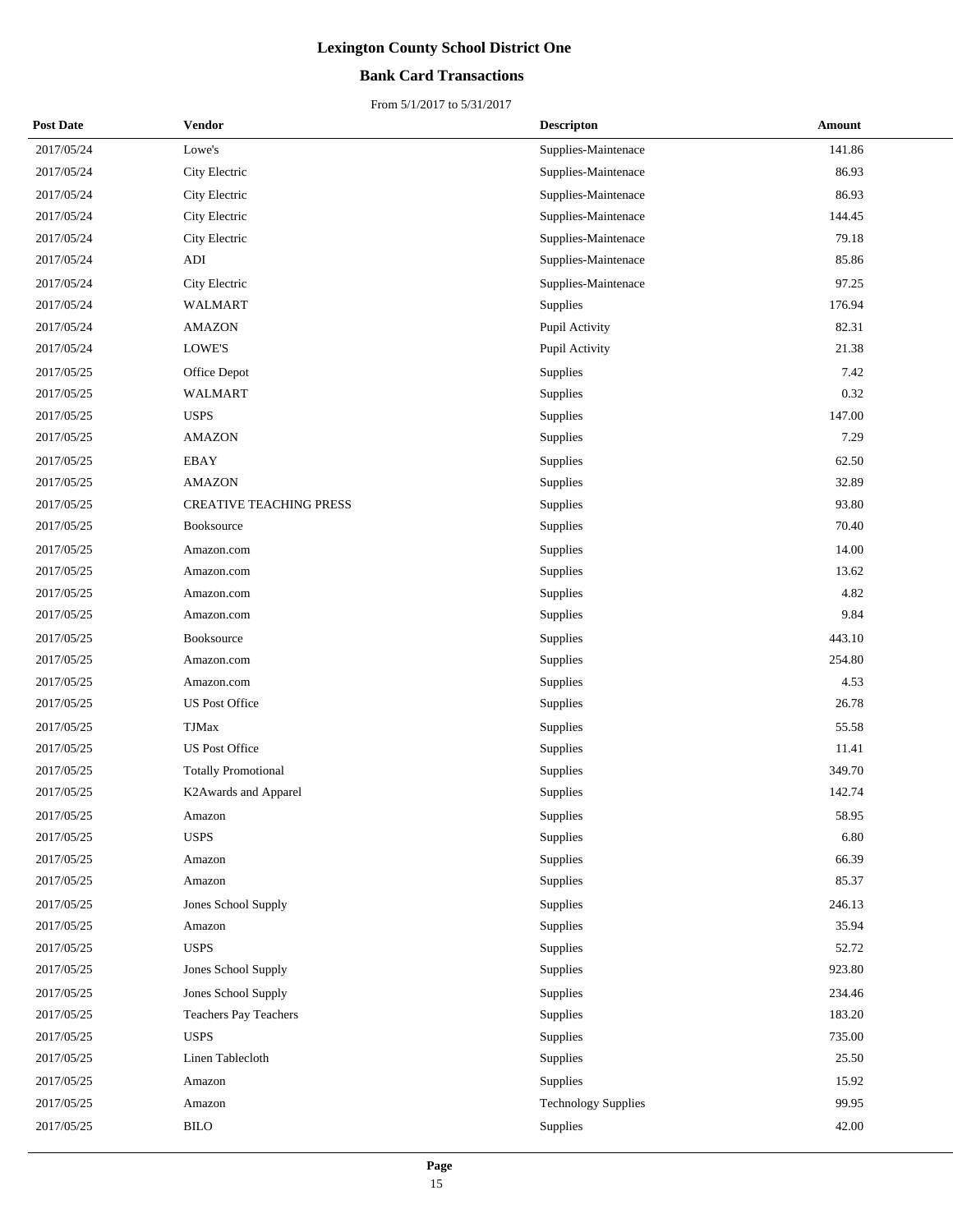### **Bank Card Transactions**

| <b>Post Date</b> | Vendor                         | <b>Descripton</b>          | Amount |
|------------------|--------------------------------|----------------------------|--------|
| 2017/05/24       | Lowe's                         | Supplies-Maintenace        | 141.86 |
| 2017/05/24       | City Electric                  | Supplies-Maintenace        | 86.93  |
| 2017/05/24       | City Electric                  | Supplies-Maintenace        | 86.93  |
| 2017/05/24       | City Electric                  | Supplies-Maintenace        | 144.45 |
| 2017/05/24       | City Electric                  | Supplies-Maintenace        | 79.18  |
| 2017/05/24       | ADI                            | Supplies-Maintenace        | 85.86  |
| 2017/05/24       | City Electric                  | Supplies-Maintenace        | 97.25  |
| 2017/05/24       | <b>WALMART</b>                 | <b>Supplies</b>            | 176.94 |
| 2017/05/24       | <b>AMAZON</b>                  | Pupil Activity             | 82.31  |
| 2017/05/24       | LOWE'S                         | Pupil Activity             | 21.38  |
| 2017/05/25       | Office Depot                   | Supplies                   | 7.42   |
| 2017/05/25       | <b>WALMART</b>                 | <b>Supplies</b>            | 0.32   |
| 2017/05/25       | <b>USPS</b>                    | Supplies                   | 147.00 |
| 2017/05/25       | <b>AMAZON</b>                  | Supplies                   | 7.29   |
| 2017/05/25       | <b>EBAY</b>                    | Supplies                   | 62.50  |
| 2017/05/25       | <b>AMAZON</b>                  | <b>Supplies</b>            | 32.89  |
| 2017/05/25       | <b>CREATIVE TEACHING PRESS</b> | Supplies                   | 93.80  |
| 2017/05/25       | Booksource                     | <b>Supplies</b>            | 70.40  |
| 2017/05/25       | Amazon.com                     | Supplies                   | 14.00  |
| 2017/05/25       | Amazon.com                     | <b>Supplies</b>            | 13.62  |
| 2017/05/25       | Amazon.com                     | Supplies                   | 4.82   |
| 2017/05/25       | Amazon.com                     | Supplies                   | 9.84   |
| 2017/05/25       | Booksource                     | Supplies                   | 443.10 |
| 2017/05/25       | Amazon.com                     | Supplies                   | 254.80 |
| 2017/05/25       | Amazon.com                     | Supplies                   | 4.53   |
| 2017/05/25       | <b>US Post Office</b>          | Supplies                   | 26.78  |
| 2017/05/25       | <b>TJMax</b>                   | Supplies                   | 55.58  |
| 2017/05/25       | <b>US Post Office</b>          | <b>Supplies</b>            | 11.41  |
| 2017/05/25       | <b>Totally Promotional</b>     | Supplies                   | 349.70 |
| 2017/05/25       | K2Awards and Apparel           | Supplies                   | 142.74 |
| 2017/05/25       | Amazon                         | Supplies                   | 58.95  |
| 2017/05/25       | <b>USPS</b>                    | Supplies                   | 6.80   |
| 2017/05/25       | Amazon                         | Supplies                   | 66.39  |
| 2017/05/25       | Amazon                         | Supplies                   | 85.37  |
| 2017/05/25       | Jones School Supply            | Supplies                   | 246.13 |
| 2017/05/25       | Amazon                         | Supplies                   | 35.94  |
| 2017/05/25       | <b>USPS</b>                    | Supplies                   | 52.72  |
| 2017/05/25       | Jones School Supply            | Supplies                   | 923.80 |
| 2017/05/25       | Jones School Supply            | Supplies                   | 234.46 |
| 2017/05/25       | Teachers Pay Teachers          | Supplies                   | 183.20 |
| 2017/05/25       | <b>USPS</b>                    | Supplies                   | 735.00 |
| 2017/05/25       | Linen Tablecloth               | Supplies                   | 25.50  |
| 2017/05/25       | Amazon                         | Supplies                   | 15.92  |
| 2017/05/25       | Amazon                         | <b>Technology Supplies</b> | 99.95  |
| 2017/05/25       | <b>BILO</b>                    | Supplies                   | 42.00  |
|                  |                                |                            |        |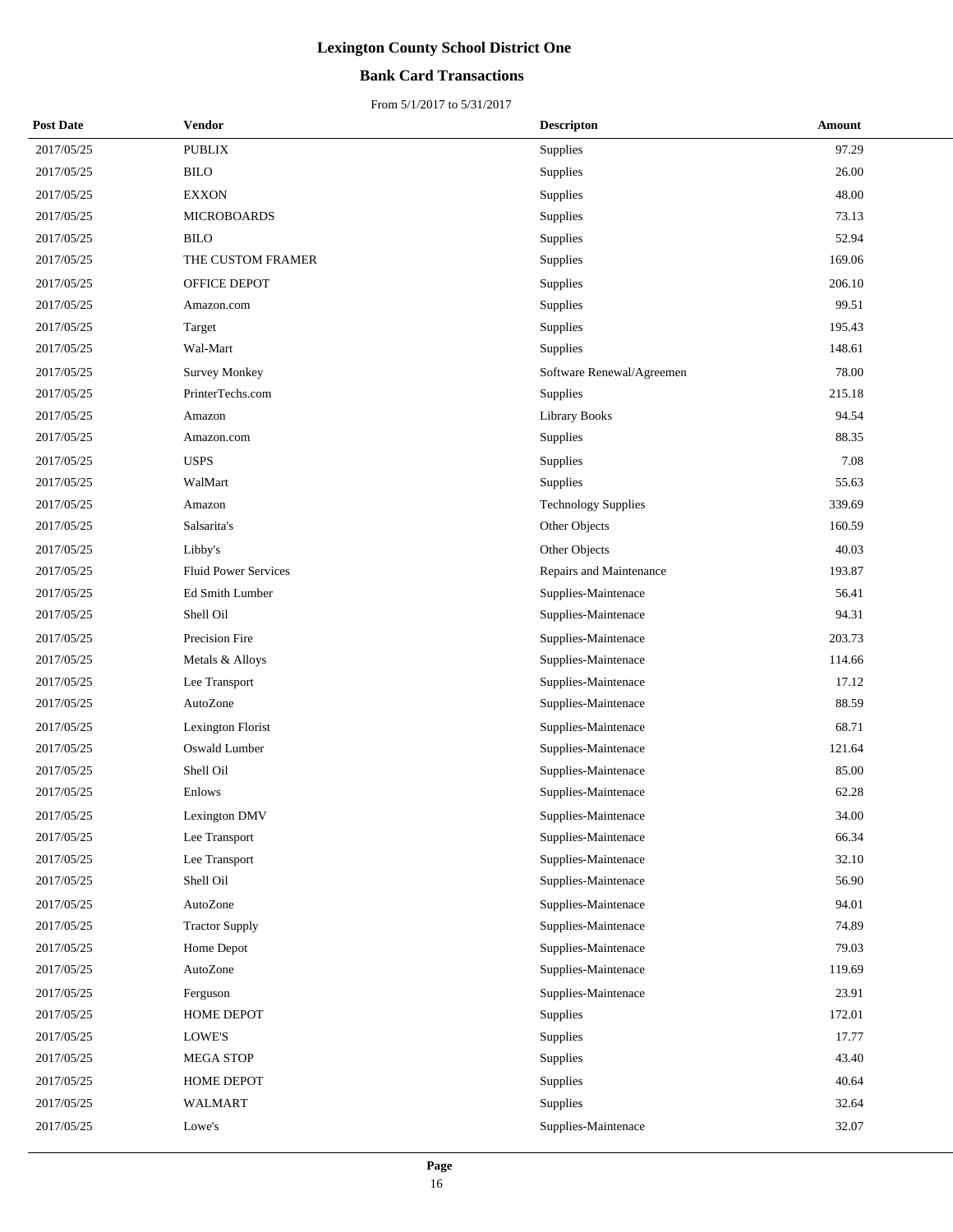### **Bank Card Transactions**

| <b>Post Date</b> | <b>Vendor</b>               | <b>Descripton</b>          | Amount |
|------------------|-----------------------------|----------------------------|--------|
| 2017/05/25       | <b>PUBLIX</b>               | Supplies                   | 97.29  |
| 2017/05/25       | <b>BILO</b>                 | Supplies                   | 26.00  |
| 2017/05/25       | <b>EXXON</b>                | Supplies                   | 48.00  |
| 2017/05/25       | <b>MICROBOARDS</b>          | Supplies                   | 73.13  |
| 2017/05/25       | <b>BILO</b>                 | Supplies                   | 52.94  |
| 2017/05/25       | THE CUSTOM FRAMER           | Supplies                   | 169.06 |
| 2017/05/25       | OFFICE DEPOT                | Supplies                   | 206.10 |
| 2017/05/25       | Amazon.com                  | Supplies                   | 99.51  |
| 2017/05/25       | Target                      | Supplies                   | 195.43 |
| 2017/05/25       | Wal-Mart                    | Supplies                   | 148.61 |
| 2017/05/25       | <b>Survey Monkey</b>        | Software Renewal/Agreemen  | 78.00  |
| 2017/05/25       | PrinterTechs.com            | Supplies                   | 215.18 |
| 2017/05/25       | Amazon                      | Library Books              | 94.54  |
| 2017/05/25       | Amazon.com                  | Supplies                   | 88.35  |
| 2017/05/25       | <b>USPS</b>                 | Supplies                   | 7.08   |
| 2017/05/25       | WalMart                     | Supplies                   | 55.63  |
| 2017/05/25       | Amazon                      | <b>Technology Supplies</b> | 339.69 |
| 2017/05/25       | Salsarita's                 | Other Objects              | 160.59 |
| 2017/05/25       | Libby's                     | Other Objects              | 40.03  |
| 2017/05/25       | <b>Fluid Power Services</b> | Repairs and Maintenance    | 193.87 |
| 2017/05/25       | Ed Smith Lumber             | Supplies-Maintenace        | 56.41  |
| 2017/05/25       | Shell Oil                   | Supplies-Maintenace        | 94.31  |
| 2017/05/25       | Precision Fire              | Supplies-Maintenace        | 203.73 |
| 2017/05/25       | Metals & Alloys             | Supplies-Maintenace        | 114.66 |
| 2017/05/25       | Lee Transport               | Supplies-Maintenace        | 17.12  |
| 2017/05/25       | AutoZone                    | Supplies-Maintenace        | 88.59  |
| 2017/05/25       | Lexington Florist           | Supplies-Maintenace        | 68.71  |
| 2017/05/25       | Oswald Lumber               | Supplies-Maintenace        | 121.64 |
| 2017/05/25       | Shell Oil                   | Supplies-Maintenace        | 85.00  |
| 2017/05/25       | Enlows                      | Supplies-Maintenace        | 62.28  |
| 2017/05/25       | Lexington DMV               | Supplies-Maintenace        | 34.00  |
| 2017/05/25       | Lee Transport               | Supplies-Maintenace        | 66.34  |
| 2017/05/25       | Lee Transport               | Supplies-Maintenace        | 32.10  |
| 2017/05/25       | Shell Oil                   | Supplies-Maintenace        | 56.90  |
| 2017/05/25       | AutoZone                    | Supplies-Maintenace        | 94.01  |
| 2017/05/25       | <b>Tractor Supply</b>       | Supplies-Maintenace        | 74.89  |
| 2017/05/25       | Home Depot                  | Supplies-Maintenace        | 79.03  |
| 2017/05/25       | AutoZone                    | Supplies-Maintenace        | 119.69 |
| 2017/05/25       | Ferguson                    | Supplies-Maintenace        | 23.91  |
| 2017/05/25       | HOME DEPOT                  | Supplies                   | 172.01 |
| 2017/05/25       | LOWE'S                      | Supplies                   | 17.77  |
| 2017/05/25       | <b>MEGA STOP</b>            | Supplies                   | 43.40  |
| 2017/05/25       | HOME DEPOT                  | Supplies                   | 40.64  |
| 2017/05/25       | <b>WALMART</b>              | Supplies                   | 32.64  |
| 2017/05/25       | Lowe's                      | Supplies-Maintenace        | 32.07  |
|                  |                             |                            |        |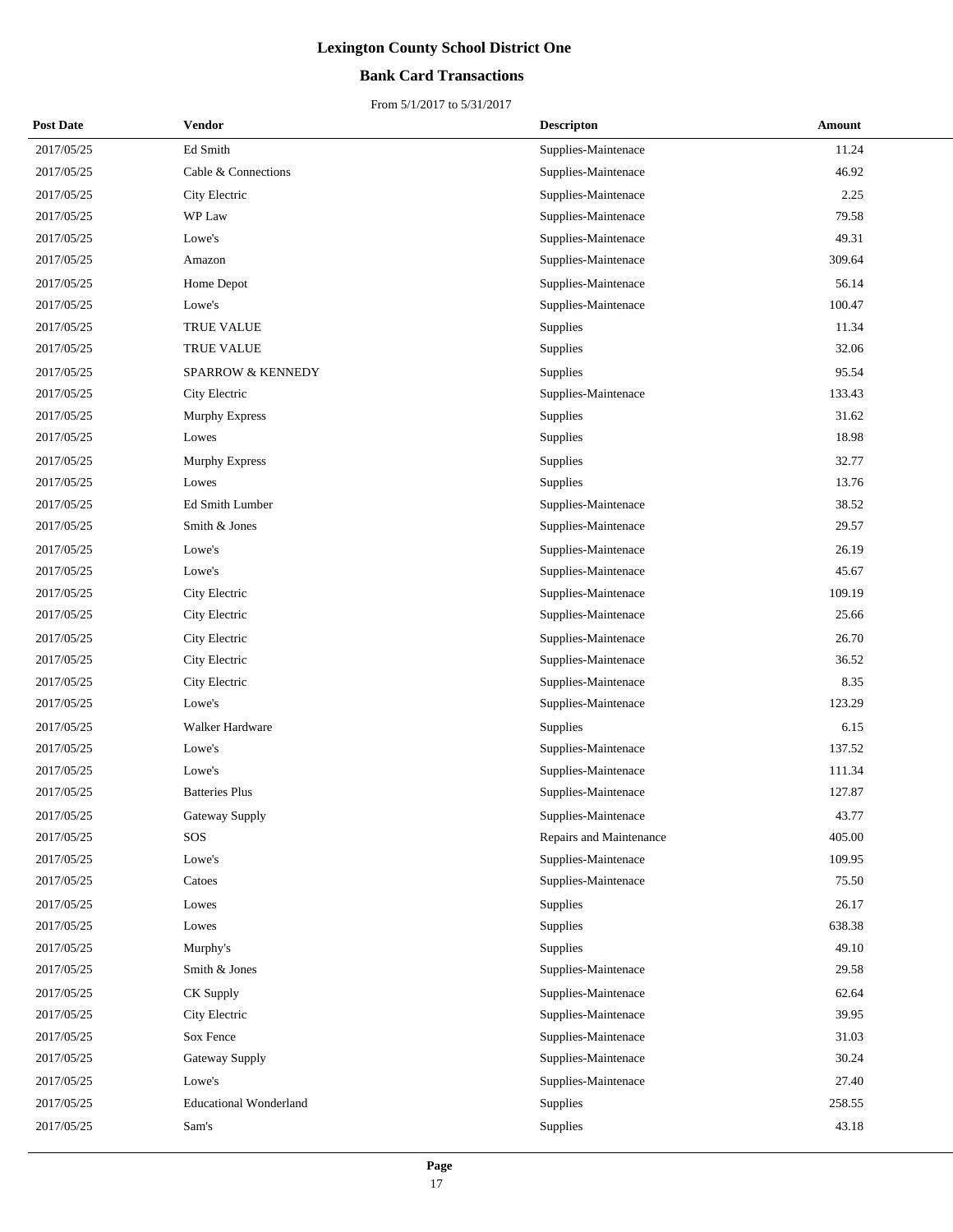### **Bank Card Transactions**

| <b>Post Date</b> | Vendor                        | <b>Descripton</b>       | Amount |
|------------------|-------------------------------|-------------------------|--------|
| 2017/05/25       | Ed Smith                      | Supplies-Maintenace     | 11.24  |
| 2017/05/25       | Cable & Connections           | Supplies-Maintenace     | 46.92  |
| 2017/05/25       | City Electric                 | Supplies-Maintenace     | 2.25   |
| 2017/05/25       | WP Law                        | Supplies-Maintenace     | 79.58  |
| 2017/05/25       | Lowe's                        | Supplies-Maintenace     | 49.31  |
| 2017/05/25       | Amazon                        | Supplies-Maintenace     | 309.64 |
| 2017/05/25       | Home Depot                    | Supplies-Maintenace     | 56.14  |
| 2017/05/25       | Lowe's                        | Supplies-Maintenace     | 100.47 |
| 2017/05/25       | TRUE VALUE                    | Supplies                | 11.34  |
| 2017/05/25       | TRUE VALUE                    | Supplies                | 32.06  |
| 2017/05/25       | <b>SPARROW &amp; KENNEDY</b>  | Supplies                | 95.54  |
| 2017/05/25       | City Electric                 | Supplies-Maintenace     | 133.43 |
| 2017/05/25       | Murphy Express                | Supplies                | 31.62  |
| 2017/05/25       | Lowes                         | Supplies                | 18.98  |
| 2017/05/25       | Murphy Express                | Supplies                | 32.77  |
| 2017/05/25       | Lowes                         | Supplies                | 13.76  |
| 2017/05/25       | Ed Smith Lumber               | Supplies-Maintenace     | 38.52  |
| 2017/05/25       | Smith & Jones                 | Supplies-Maintenace     | 29.57  |
| 2017/05/25       | Lowe's                        | Supplies-Maintenace     | 26.19  |
| 2017/05/25       | Lowe's                        | Supplies-Maintenace     | 45.67  |
| 2017/05/25       | City Electric                 | Supplies-Maintenace     | 109.19 |
| 2017/05/25       | City Electric                 | Supplies-Maintenace     | 25.66  |
| 2017/05/25       | City Electric                 | Supplies-Maintenace     | 26.70  |
| 2017/05/25       | City Electric                 | Supplies-Maintenace     | 36.52  |
| 2017/05/25       | City Electric                 | Supplies-Maintenace     | 8.35   |
| 2017/05/25       | Lowe's                        | Supplies-Maintenace     | 123.29 |
| 2017/05/25       | Walker Hardware               | <b>Supplies</b>         | 6.15   |
| 2017/05/25       | Lowe's                        | Supplies-Maintenace     | 137.52 |
| 2017/05/25       | Lowe's                        | Supplies-Maintenace     | 111.34 |
| 2017/05/25       | <b>Batteries Plus</b>         | Supplies-Maintenace     | 127.87 |
| 2017/05/25       | Gateway Supply                | Supplies-Maintenace     | 43.77  |
| 2017/05/25       | SOS                           | Repairs and Maintenance | 405.00 |
| 2017/05/25       | Lowe's                        | Supplies-Maintenace     | 109.95 |
| 2017/05/25       | Catoes                        | Supplies-Maintenace     | 75.50  |
| 2017/05/25       | Lowes                         | Supplies                | 26.17  |
| 2017/05/25       | Lowes                         | Supplies                | 638.38 |
| 2017/05/25       | Murphy's                      | Supplies                | 49.10  |
| 2017/05/25       | Smith & Jones                 | Supplies-Maintenace     | 29.58  |
| 2017/05/25       | CK Supply                     | Supplies-Maintenace     | 62.64  |
| 2017/05/25       | City Electric                 | Supplies-Maintenace     | 39.95  |
| 2017/05/25       | Sox Fence                     | Supplies-Maintenace     | 31.03  |
| 2017/05/25       | Gateway Supply                | Supplies-Maintenace     | 30.24  |
| 2017/05/25       | Lowe's                        | Supplies-Maintenace     | 27.40  |
| 2017/05/25       | <b>Educational Wonderland</b> | Supplies                | 258.55 |
| 2017/05/25       | Sam's                         | Supplies                | 43.18  |
|                  |                               |                         |        |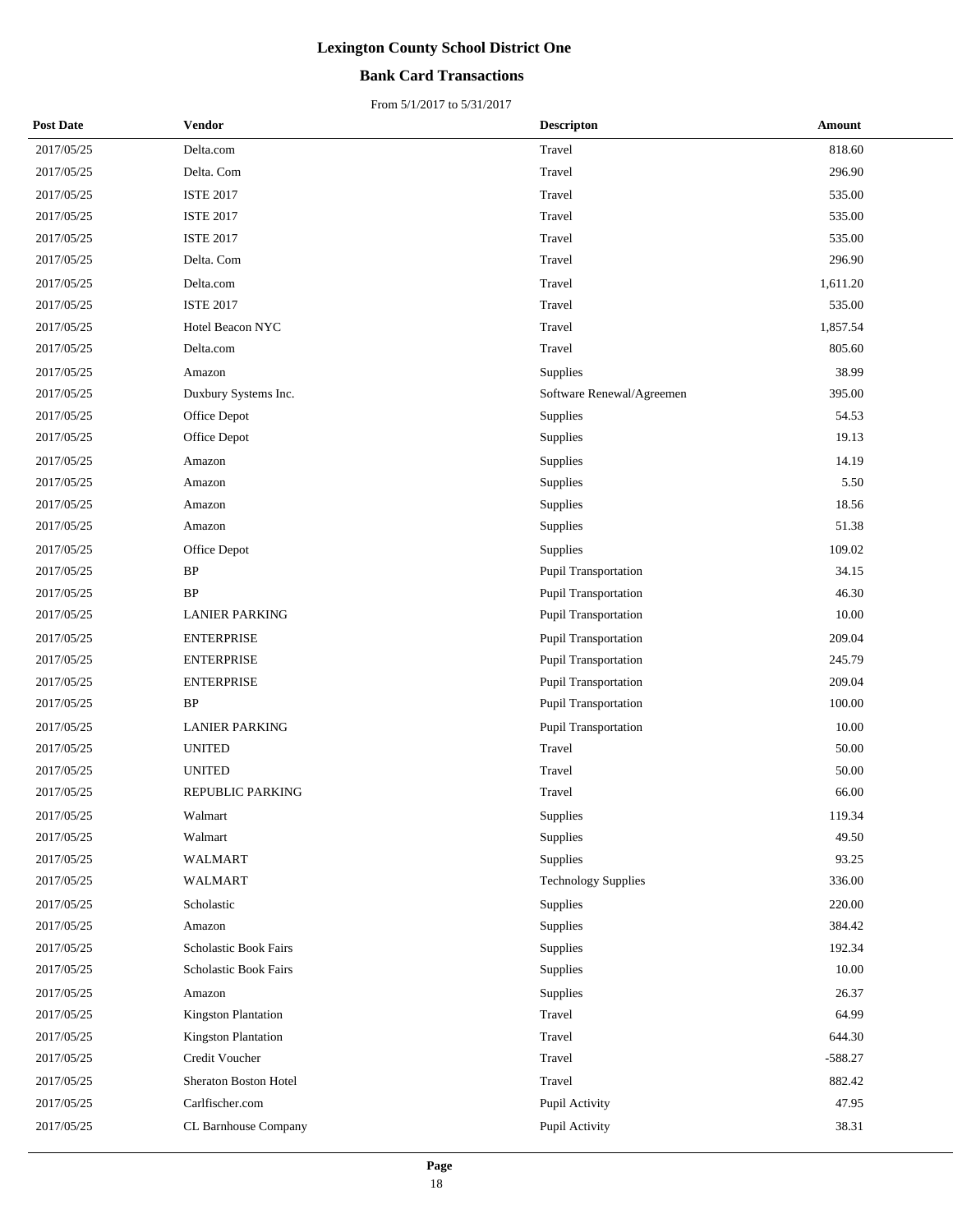### **Bank Card Transactions**

| <b>Post Date</b> | <b>Vendor</b>                | <b>Descripton</b>           | Amount    |
|------------------|------------------------------|-----------------------------|-----------|
| 2017/05/25       | Delta.com                    | Travel                      | 818.60    |
| 2017/05/25       | Delta. Com                   | Travel                      | 296.90    |
| 2017/05/25       | <b>ISTE 2017</b>             | Travel                      | 535.00    |
| 2017/05/25       | <b>ISTE 2017</b>             | Travel                      | 535.00    |
| 2017/05/25       | <b>ISTE 2017</b>             | Travel                      | 535.00    |
| 2017/05/25       | Delta. Com                   | Travel                      | 296.90    |
| 2017/05/25       | Delta.com                    | Travel                      | 1,611.20  |
| 2017/05/25       | <b>ISTE 2017</b>             | Travel                      | 535.00    |
| 2017/05/25       | Hotel Beacon NYC             | Travel                      | 1,857.54  |
| 2017/05/25       | Delta.com                    | Travel                      | 805.60    |
| 2017/05/25       | Amazon                       | Supplies                    | 38.99     |
| 2017/05/25       | Duxbury Systems Inc.         | Software Renewal/Agreemen   | 395.00    |
| 2017/05/25       | Office Depot                 | Supplies                    | 54.53     |
| 2017/05/25       | Office Depot                 | Supplies                    | 19.13     |
| 2017/05/25       | Amazon                       | Supplies                    | 14.19     |
| 2017/05/25       | Amazon                       | Supplies                    | 5.50      |
| 2017/05/25       | Amazon                       | Supplies                    | 18.56     |
| 2017/05/25       | Amazon                       | Supplies                    | 51.38     |
| 2017/05/25       | Office Depot                 | Supplies                    | 109.02    |
| 2017/05/25       | BP                           | Pupil Transportation        | 34.15     |
| 2017/05/25       | <b>BP</b>                    | Pupil Transportation        | 46.30     |
| 2017/05/25       | <b>LANIER PARKING</b>        | Pupil Transportation        | 10.00     |
| 2017/05/25       | <b>ENTERPRISE</b>            | Pupil Transportation        | 209.04    |
| 2017/05/25       | <b>ENTERPRISE</b>            | Pupil Transportation        | 245.79    |
| 2017/05/25       | <b>ENTERPRISE</b>            | Pupil Transportation        | 209.04    |
| 2017/05/25       | BP                           | Pupil Transportation        | 100.00    |
| 2017/05/25       | <b>LANIER PARKING</b>        | <b>Pupil Transportation</b> | 10.00     |
| 2017/05/25       | <b>UNITED</b>                | Travel                      | 50.00     |
| 2017/05/25       | <b>UNITED</b>                | Travel                      | 50.00     |
| 2017/05/25       | REPUBLIC PARKING             | Travel                      | 66.00     |
| 2017/05/25       | Walmart                      | Supplies                    | 119.34    |
| 2017/05/25       | Walmart                      | Supplies                    | 49.50     |
| 2017/05/25       | <b>WALMART</b>               | <b>Supplies</b>             | 93.25     |
| 2017/05/25       | WALMART                      | <b>Technology Supplies</b>  | 336.00    |
| 2017/05/25       | Scholastic                   | Supplies                    | 220.00    |
| 2017/05/25       | Amazon                       | Supplies                    | 384.42    |
| 2017/05/25       | <b>Scholastic Book Fairs</b> | Supplies                    | 192.34    |
| 2017/05/25       | Scholastic Book Fairs        | Supplies                    | 10.00     |
| 2017/05/25       | Amazon                       | Supplies                    | 26.37     |
| 2017/05/25       | <b>Kingston Plantation</b>   | Travel                      | 64.99     |
| 2017/05/25       | <b>Kingston Plantation</b>   | Travel                      | 644.30    |
| 2017/05/25       | Credit Voucher               | Travel                      | $-588.27$ |
| 2017/05/25       | Sheraton Boston Hotel        | Travel                      | 882.42    |
| 2017/05/25       | Carlfischer.com              | Pupil Activity              | 47.95     |
| 2017/05/25       | CL Barnhouse Company         | Pupil Activity              | 38.31     |
|                  |                              |                             |           |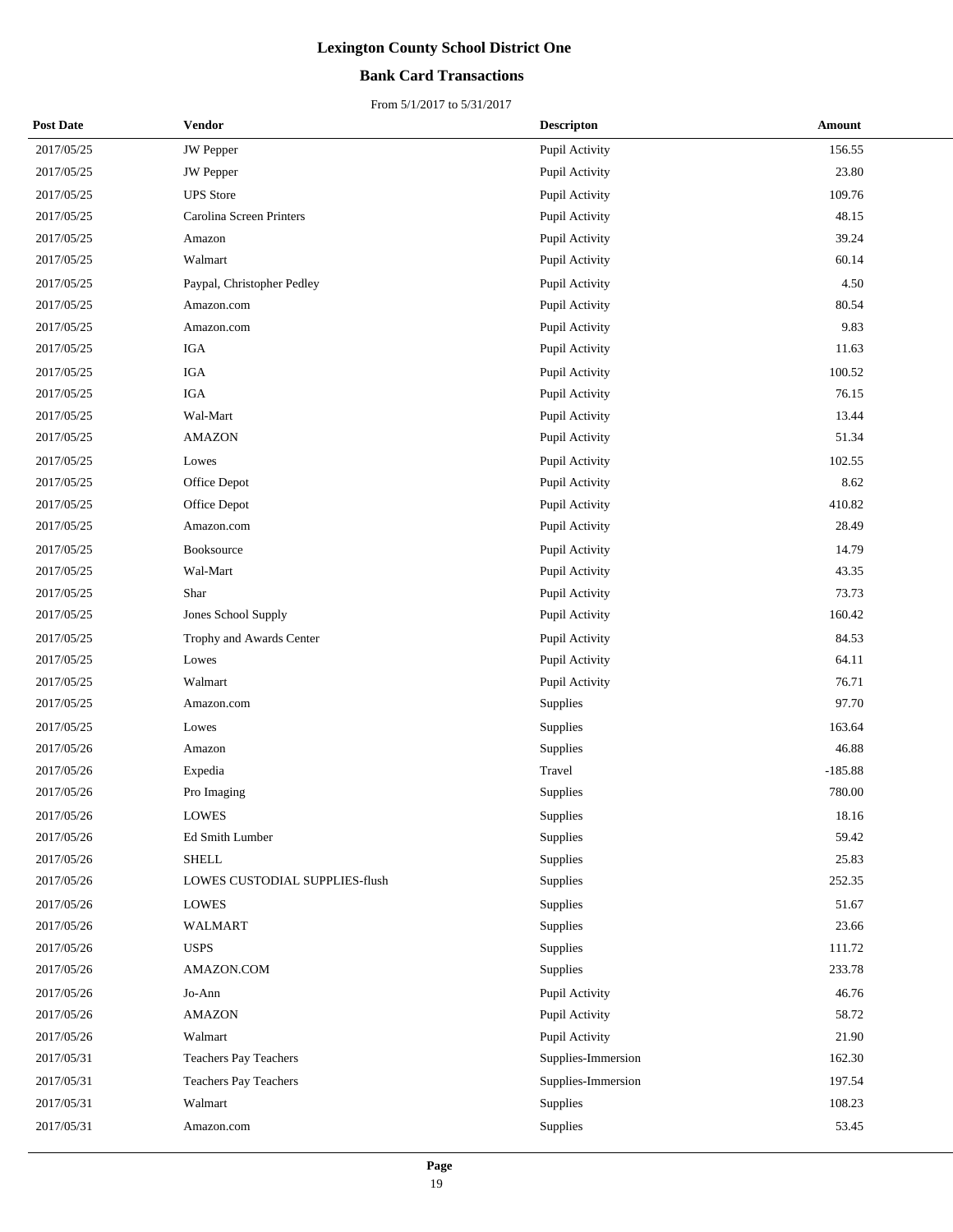### **Bank Card Transactions**

| <b>Post Date</b> | Vendor                         | <b>Descripton</b>  | <b>Amount</b> |
|------------------|--------------------------------|--------------------|---------------|
| 2017/05/25       | <b>JW</b> Pepper               | Pupil Activity     | 156.55        |
| 2017/05/25       | <b>JW</b> Pepper               | Pupil Activity     | 23.80         |
| 2017/05/25       | <b>UPS</b> Store               | Pupil Activity     | 109.76        |
| 2017/05/25       | Carolina Screen Printers       | Pupil Activity     | 48.15         |
| 2017/05/25       | Amazon                         | Pupil Activity     | 39.24         |
| 2017/05/25       | Walmart                        | Pupil Activity     | 60.14         |
| 2017/05/25       | Paypal, Christopher Pedley     | Pupil Activity     | 4.50          |
| 2017/05/25       | Amazon.com                     | Pupil Activity     | 80.54         |
| 2017/05/25       | Amazon.com                     | Pupil Activity     | 9.83          |
| 2017/05/25       | IGA                            | Pupil Activity     | 11.63         |
| 2017/05/25       | $_{\rm IGA}$                   | Pupil Activity     | 100.52        |
| 2017/05/25       | <b>IGA</b>                     | Pupil Activity     | 76.15         |
| 2017/05/25       | Wal-Mart                       | Pupil Activity     | 13.44         |
| 2017/05/25       | <b>AMAZON</b>                  | Pupil Activity     | 51.34         |
| 2017/05/25       | Lowes                          | Pupil Activity     | 102.55        |
| 2017/05/25       | Office Depot                   | Pupil Activity     | 8.62          |
| 2017/05/25       | Office Depot                   | Pupil Activity     | 410.82        |
| 2017/05/25       | Amazon.com                     | Pupil Activity     | 28.49         |
| 2017/05/25       | Booksource                     | Pupil Activity     | 14.79         |
| 2017/05/25       | Wal-Mart                       | Pupil Activity     | 43.35         |
| 2017/05/25       | Shar                           | Pupil Activity     | 73.73         |
| 2017/05/25       | Jones School Supply            | Pupil Activity     | 160.42        |
| 2017/05/25       | Trophy and Awards Center       | Pupil Activity     | 84.53         |
| 2017/05/25       | Lowes                          | Pupil Activity     | 64.11         |
| 2017/05/25       | Walmart                        | Pupil Activity     | 76.71         |
| 2017/05/25       | Amazon.com                     | Supplies           | 97.70         |
| 2017/05/25       | Lowes                          | Supplies           | 163.64        |
| 2017/05/26       | Amazon                         | Supplies           | 46.88         |
| 2017/05/26       | Expedia                        | Travel             | $-185.88$     |
| 2017/05/26       | Pro Imaging                    | Supplies           | 780.00        |
| 2017/05/26       | LOWES                          | Supplies           | 18.16         |
| 2017/05/26       | Ed Smith Lumber                | Supplies           | 59.42         |
| 2017/05/26       | <b>SHELL</b>                   | Supplies           | 25.83         |
| 2017/05/26       | LOWES CUSTODIAL SUPPLIES-flush | Supplies           | 252.35        |
| 2017/05/26       | <b>LOWES</b>                   | Supplies           | 51.67         |
| 2017/05/26       | WALMART                        | Supplies           | 23.66         |
| 2017/05/26       | <b>USPS</b>                    | Supplies           | 111.72        |
| 2017/05/26       | AMAZON.COM                     | Supplies           | 233.78        |
| 2017/05/26       | Jo-Ann                         | Pupil Activity     | 46.76         |
| 2017/05/26       | <b>AMAZON</b>                  | Pupil Activity     | 58.72         |
| 2017/05/26       | Walmart                        | Pupil Activity     | 21.90         |
| 2017/05/31       | Teachers Pay Teachers          | Supplies-Immersion | 162.30        |
| 2017/05/31       | Teachers Pay Teachers          | Supplies-Immersion | 197.54        |
| 2017/05/31       | Walmart                        | Supplies           | 108.23        |
| 2017/05/31       | Amazon.com                     | Supplies           | 53.45         |
|                  |                                |                    |               |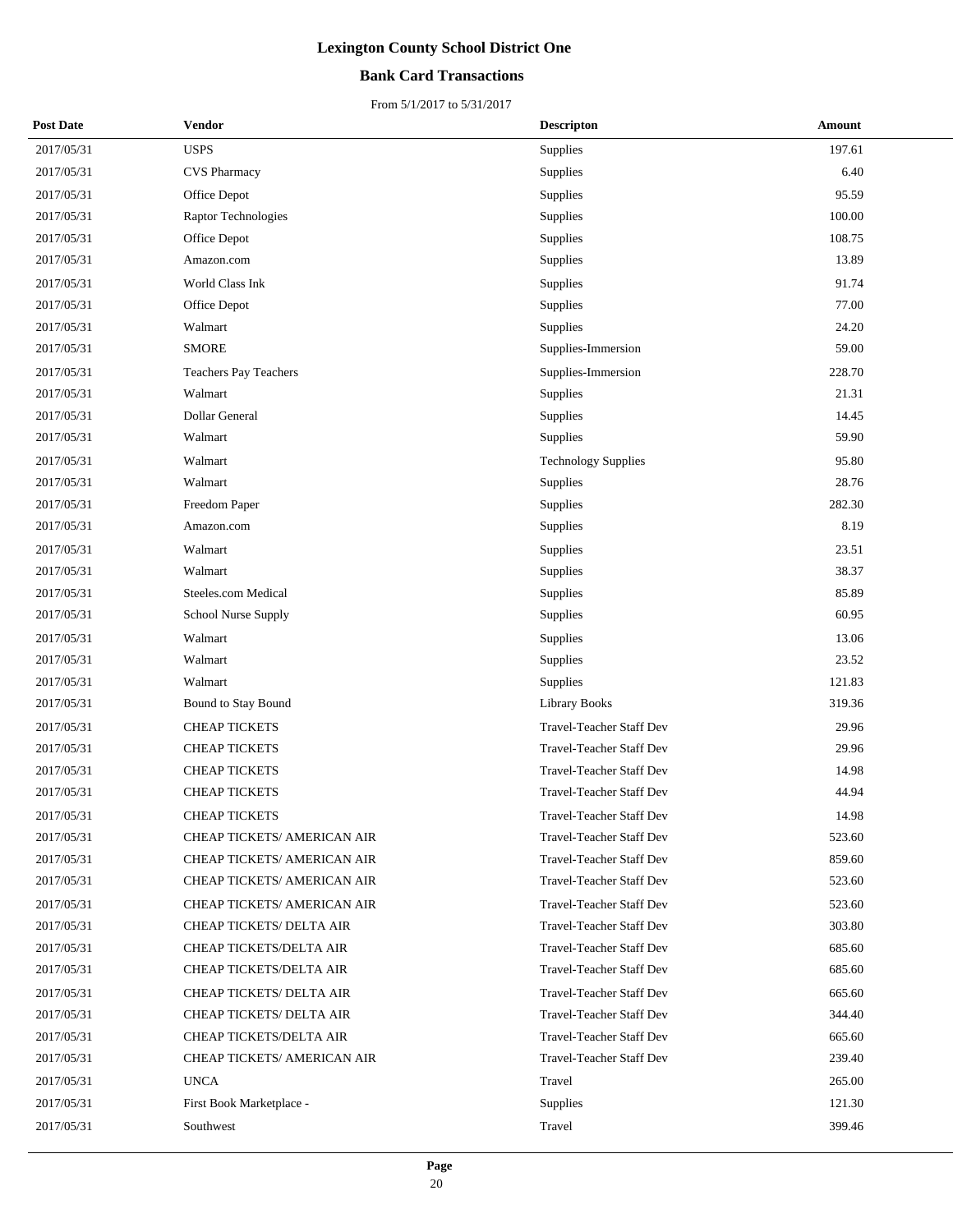### **Bank Card Transactions**

| <b>Post Date</b> | <b>Vendor</b>                | Descripton                      | <b>Amount</b> |
|------------------|------------------------------|---------------------------------|---------------|
| 2017/05/31       | <b>USPS</b>                  | Supplies                        | 197.61        |
| 2017/05/31       | CVS Pharmacy                 | Supplies                        | 6.40          |
| 2017/05/31       | Office Depot                 | Supplies                        | 95.59         |
| 2017/05/31       | Raptor Technologies          | Supplies                        | 100.00        |
| 2017/05/31       | Office Depot                 | Supplies                        | 108.75        |
| 2017/05/31       | Amazon.com                   | Supplies                        | 13.89         |
| 2017/05/31       | World Class Ink              | Supplies                        | 91.74         |
| 2017/05/31       | Office Depot                 | Supplies                        | 77.00         |
| 2017/05/31       | Walmart                      | Supplies                        | 24.20         |
| 2017/05/31       | <b>SMORE</b>                 | Supplies-Immersion              | 59.00         |
| 2017/05/31       | <b>Teachers Pay Teachers</b> | Supplies-Immersion              | 228.70        |
| 2017/05/31       | Walmart                      | Supplies                        | 21.31         |
| 2017/05/31       | Dollar General               | Supplies                        | 14.45         |
| 2017/05/31       | Walmart                      | Supplies                        | 59.90         |
| 2017/05/31       | Walmart                      | <b>Technology Supplies</b>      | 95.80         |
| 2017/05/31       | Walmart                      | Supplies                        | 28.76         |
| 2017/05/31       | Freedom Paper                | Supplies                        | 282.30        |
| 2017/05/31       | Amazon.com                   | Supplies                        | 8.19          |
| 2017/05/31       | Walmart                      | Supplies                        | 23.51         |
| 2017/05/31       | Walmart                      | Supplies                        | 38.37         |
| 2017/05/31       | Steeles.com Medical          | Supplies                        | 85.89         |
| 2017/05/31       | School Nurse Supply          | Supplies                        | 60.95         |
| 2017/05/31       | Walmart                      | Supplies                        | 13.06         |
| 2017/05/31       | Walmart                      | Supplies                        | 23.52         |
| 2017/05/31       | Walmart                      | Supplies                        | 121.83        |
| 2017/05/31       | Bound to Stay Bound          | <b>Library Books</b>            | 319.36        |
| 2017/05/31       | <b>CHEAP TICKETS</b>         | Travel-Teacher Staff Dev        | 29.96         |
| 2017/05/31       | <b>CHEAP TICKETS</b>         | <b>Travel-Teacher Staff Dev</b> | 29.96         |
| 2017/05/31       | <b>CHEAP TICKETS</b>         | Travel-Teacher Staff Dev        | 14.98         |
| 2017/05/31       | <b>CHEAP TICKETS</b>         | <b>Travel-Teacher Staff Dev</b> | 44.94         |
| 2017/05/31       | <b>CHEAP TICKETS</b>         | Travel-Teacher Staff Dev        | 14.98         |
| 2017/05/31       | CHEAP TICKETS/ AMERICAN AIR  | Travel-Teacher Staff Dev        | 523.60        |
| 2017/05/31       | CHEAP TICKETS/ AMERICAN AIR  | <b>Travel-Teacher Staff Dev</b> | 859.60        |
| 2017/05/31       | CHEAP TICKETS/ AMERICAN AIR  | Travel-Teacher Staff Dev        | 523.60        |
| 2017/05/31       | CHEAP TICKETS/ AMERICAN AIR  | <b>Travel-Teacher Staff Dev</b> | 523.60        |
| 2017/05/31       | CHEAP TICKETS/ DELTA AIR     | <b>Travel-Teacher Staff Dev</b> | 303.80        |
| 2017/05/31       | CHEAP TICKETS/DELTA AIR      | <b>Travel-Teacher Staff Dev</b> | 685.60        |
| 2017/05/31       | CHEAP TICKETS/DELTA AIR      | Travel-Teacher Staff Dev        | 685.60        |
| 2017/05/31       | CHEAP TICKETS/ DELTA AIR     | <b>Travel-Teacher Staff Dev</b> | 665.60        |
| 2017/05/31       | CHEAP TICKETS/ DELTA AIR     | <b>Travel-Teacher Staff Dev</b> | 344.40        |
| 2017/05/31       | CHEAP TICKETS/DELTA AIR      | <b>Travel-Teacher Staff Dev</b> | 665.60        |
| 2017/05/31       | CHEAP TICKETS/ AMERICAN AIR  | Travel-Teacher Staff Dev        | 239.40        |
| 2017/05/31       | <b>UNCA</b>                  | Travel                          | 265.00        |
| 2017/05/31       | First Book Marketplace -     | Supplies                        | 121.30        |
| 2017/05/31       | Southwest                    | Travel                          | 399.46        |
|                  |                              |                                 |               |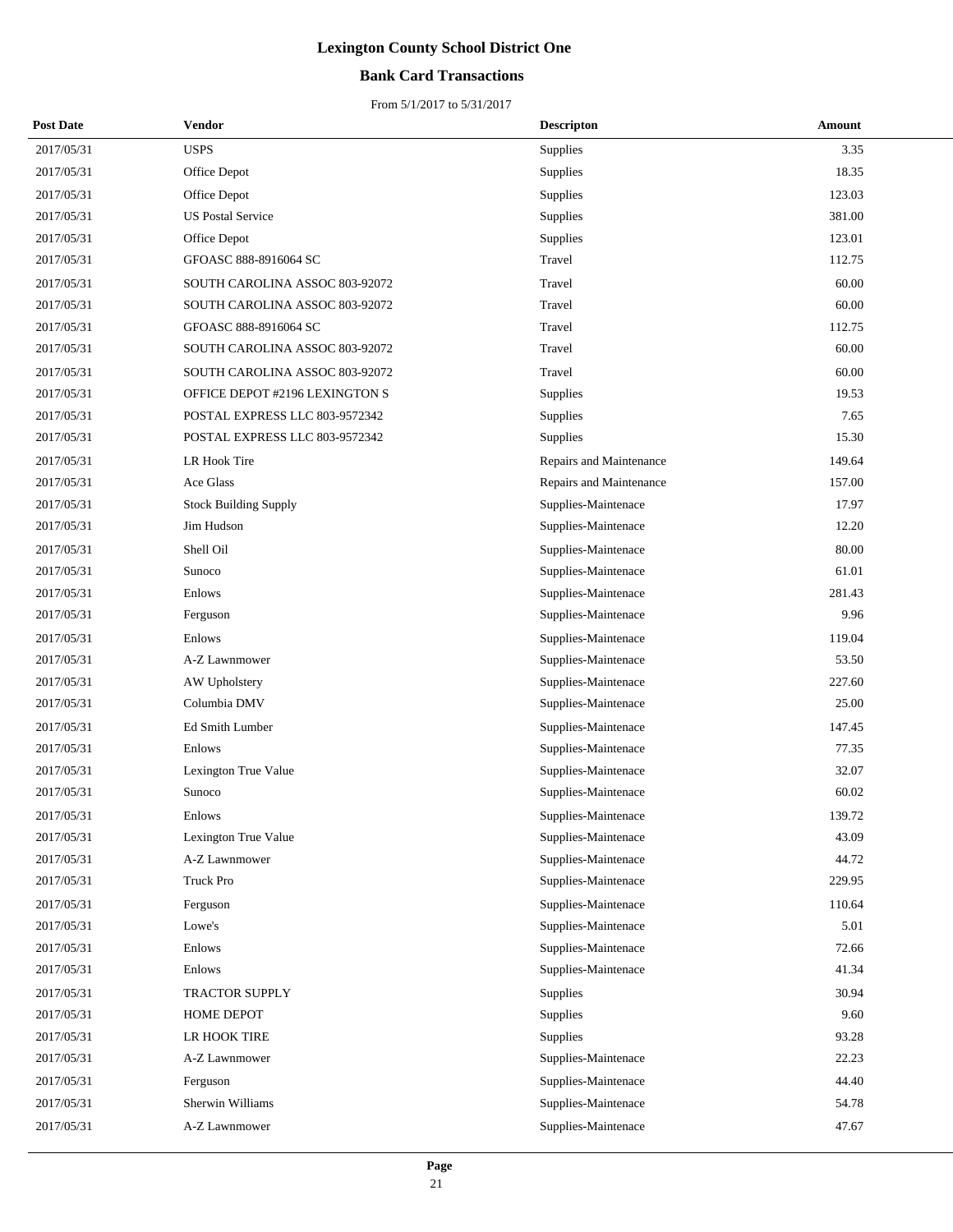### **Bank Card Transactions**

| <b>Post Date</b> | Vendor                         | <b>Descripton</b>       | Amount |
|------------------|--------------------------------|-------------------------|--------|
| 2017/05/31       | <b>USPS</b>                    | Supplies                | 3.35   |
| 2017/05/31       | Office Depot                   | Supplies                | 18.35  |
| 2017/05/31       | Office Depot                   | Supplies                | 123.03 |
| 2017/05/31       | <b>US Postal Service</b>       | Supplies                | 381.00 |
| 2017/05/31       | Office Depot                   | Supplies                | 123.01 |
| 2017/05/31       | GFOASC 888-8916064 SC          | Travel                  | 112.75 |
| 2017/05/31       | SOUTH CAROLINA ASSOC 803-92072 | Travel                  | 60.00  |
| 2017/05/31       | SOUTH CAROLINA ASSOC 803-92072 | Travel                  | 60.00  |
| 2017/05/31       | GFOASC 888-8916064 SC          | Travel                  | 112.75 |
| 2017/05/31       | SOUTH CAROLINA ASSOC 803-92072 | Travel                  | 60.00  |
| 2017/05/31       | SOUTH CAROLINA ASSOC 803-92072 | Travel                  | 60.00  |
| 2017/05/31       | OFFICE DEPOT #2196 LEXINGTON S | Supplies                | 19.53  |
| 2017/05/31       | POSTAL EXPRESS LLC 803-9572342 | Supplies                | 7.65   |
| 2017/05/31       | POSTAL EXPRESS LLC 803-9572342 | Supplies                | 15.30  |
| 2017/05/31       | LR Hook Tire                   | Repairs and Maintenance | 149.64 |
| 2017/05/31       | Ace Glass                      | Repairs and Maintenance | 157.00 |
| 2017/05/31       | <b>Stock Building Supply</b>   | Supplies-Maintenace     | 17.97  |
| 2017/05/31       | Jim Hudson                     | Supplies-Maintenace     | 12.20  |
| 2017/05/31       | Shell Oil                      | Supplies-Maintenace     | 80.00  |
| 2017/05/31       | Sunoco                         | Supplies-Maintenace     | 61.01  |
| 2017/05/31       | Enlows                         | Supplies-Maintenace     | 281.43 |
| 2017/05/31       | Ferguson                       | Supplies-Maintenace     | 9.96   |
| 2017/05/31       | Enlows                         | Supplies-Maintenace     | 119.04 |
| 2017/05/31       | A-Z Lawnmower                  | Supplies-Maintenace     | 53.50  |
| 2017/05/31       | AW Upholstery                  | Supplies-Maintenace     | 227.60 |
| 2017/05/31       | Columbia DMV                   | Supplies-Maintenace     | 25.00  |
| 2017/05/31       | Ed Smith Lumber                | Supplies-Maintenace     | 147.45 |
| 2017/05/31       | Enlows                         | Supplies-Maintenace     | 77.35  |
| 2017/05/31       | Lexington True Value           | Supplies-Maintenace     | 32.07  |
| 2017/05/31       | Sunoco                         | Supplies-Maintenace     | 60.02  |
| 2017/05/31       | Enlows                         | Supplies-Maintenace     | 139.72 |
| 2017/05/31       | Lexington True Value           | Supplies-Maintenace     | 43.09  |
| 2017/05/31       | A-Z Lawnmower                  | Supplies-Maintenace     | 44.72  |
| 2017/05/31       | <b>Truck Pro</b>               | Supplies-Maintenace     | 229.95 |
| 2017/05/31       | Ferguson                       | Supplies-Maintenace     | 110.64 |
| 2017/05/31       | Lowe's                         | Supplies-Maintenace     | 5.01   |
| 2017/05/31       | Enlows                         | Supplies-Maintenace     | 72.66  |
| 2017/05/31       | Enlows                         | Supplies-Maintenace     | 41.34  |
| 2017/05/31       | TRACTOR SUPPLY                 | Supplies                | 30.94  |
| 2017/05/31       | HOME DEPOT                     | Supplies                | 9.60   |
| 2017/05/31       | LR HOOK TIRE                   | Supplies                | 93.28  |
| 2017/05/31       | A-Z Lawnmower                  | Supplies-Maintenace     | 22.23  |
| 2017/05/31       | Ferguson                       | Supplies-Maintenace     | 44.40  |
| 2017/05/31       | Sherwin Williams               | Supplies-Maintenace     | 54.78  |
| 2017/05/31       | A-Z Lawnmower                  | Supplies-Maintenace     | 47.67  |
|                  |                                |                         |        |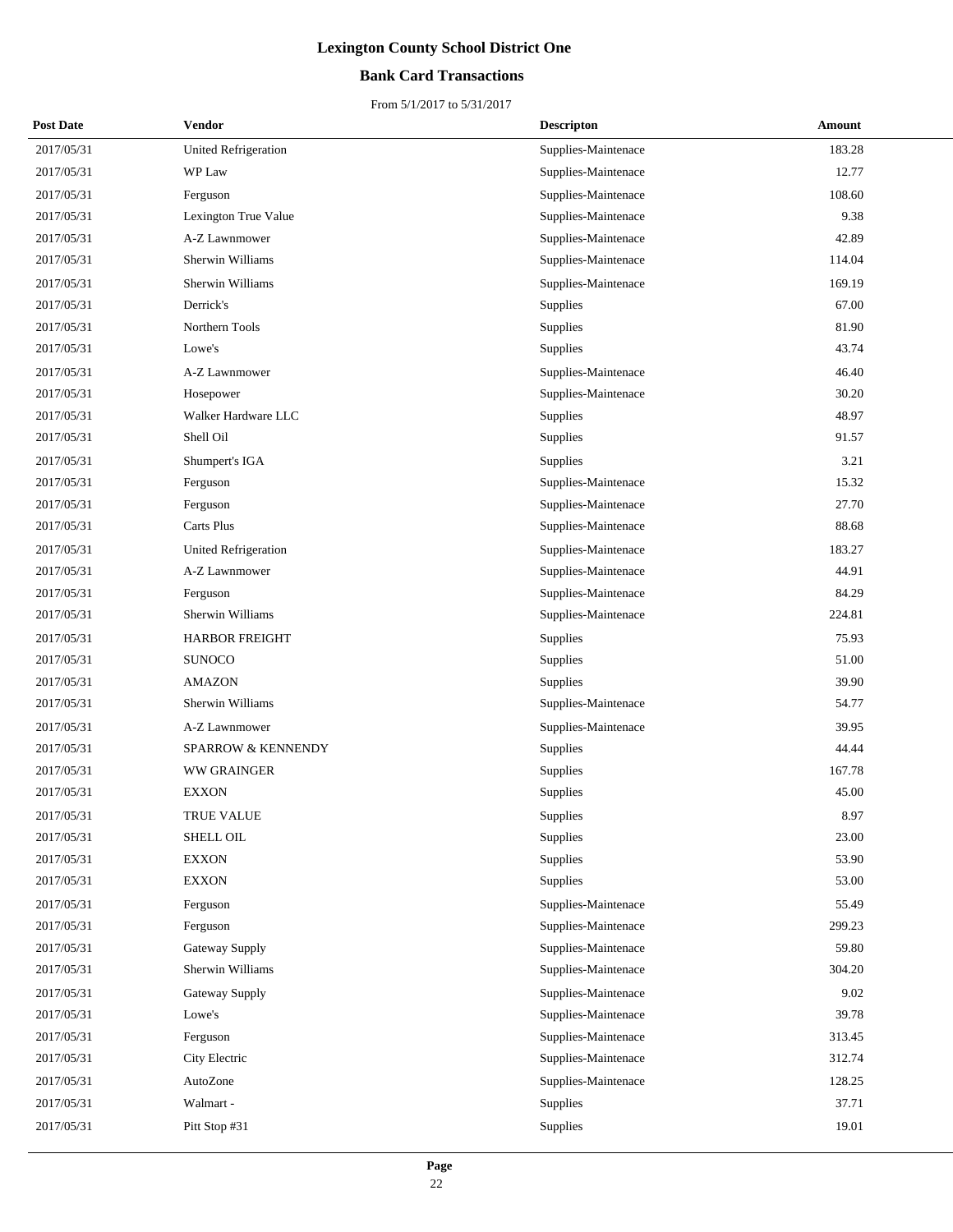### **Bank Card Transactions**

| <b>Post Date</b> | Vendor                      | <b>Descripton</b>   | Amount |
|------------------|-----------------------------|---------------------|--------|
| 2017/05/31       | <b>United Refrigeration</b> | Supplies-Maintenace | 183.28 |
| 2017/05/31       | WP Law                      | Supplies-Maintenace | 12.77  |
| 2017/05/31       | Ferguson                    | Supplies-Maintenace | 108.60 |
| 2017/05/31       | Lexington True Value        | Supplies-Maintenace | 9.38   |
| 2017/05/31       | A-Z Lawnmower               | Supplies-Maintenace | 42.89  |
| 2017/05/31       | Sherwin Williams            | Supplies-Maintenace | 114.04 |
| 2017/05/31       | Sherwin Williams            | Supplies-Maintenace | 169.19 |
| 2017/05/31       | Derrick's                   | Supplies            | 67.00  |
| 2017/05/31       | Northern Tools              | Supplies            | 81.90  |
| 2017/05/31       | Lowe's                      | Supplies            | 43.74  |
| 2017/05/31       | A-Z Lawnmower               | Supplies-Maintenace | 46.40  |
| 2017/05/31       | Hosepower                   | Supplies-Maintenace | 30.20  |
| 2017/05/31       | Walker Hardware LLC         | <b>Supplies</b>     | 48.97  |
| 2017/05/31       | Shell Oil                   | Supplies            | 91.57  |
| 2017/05/31       | Shumpert's IGA              | Supplies            | 3.21   |
| 2017/05/31       | Ferguson                    | Supplies-Maintenace | 15.32  |
| 2017/05/31       | Ferguson                    | Supplies-Maintenace | 27.70  |
| 2017/05/31       | Carts Plus                  | Supplies-Maintenace | 88.68  |
| 2017/05/31       | United Refrigeration        | Supplies-Maintenace | 183.27 |
| 2017/05/31       | A-Z Lawnmower               | Supplies-Maintenace | 44.91  |
| 2017/05/31       | Ferguson                    | Supplies-Maintenace | 84.29  |
| 2017/05/31       | Sherwin Williams            | Supplies-Maintenace | 224.81 |
| 2017/05/31       | <b>HARBOR FREIGHT</b>       | Supplies            | 75.93  |
| 2017/05/31       | <b>SUNOCO</b>               | Supplies            | 51.00  |
| 2017/05/31       | <b>AMAZON</b>               | Supplies            | 39.90  |
| 2017/05/31       | Sherwin Williams            | Supplies-Maintenace | 54.77  |
| 2017/05/31       | A-Z Lawnmower               | Supplies-Maintenace | 39.95  |
| 2017/05/31       | SPARROW & KENNENDY          | Supplies            | 44.44  |
| 2017/05/31       | WW GRAINGER                 | Supplies            | 167.78 |
| 2017/05/31       | <b>EXXON</b>                | Supplies            | 45.00  |
| 2017/05/31       | <b>TRUE VALUE</b>           | Supplies            | 8.97   |
| 2017/05/31       | SHELL OIL                   | Supplies            | 23.00  |
| 2017/05/31       | <b>EXXON</b>                | Supplies            | 53.90  |
| 2017/05/31       | <b>EXXON</b>                | Supplies            | 53.00  |
| 2017/05/31       | Ferguson                    | Supplies-Maintenace | 55.49  |
| 2017/05/31       | Ferguson                    | Supplies-Maintenace | 299.23 |
| 2017/05/31       | Gateway Supply              | Supplies-Maintenace | 59.80  |
| 2017/05/31       | Sherwin Williams            | Supplies-Maintenace | 304.20 |
| 2017/05/31       | Gateway Supply              | Supplies-Maintenace | 9.02   |
| 2017/05/31       | Lowe's                      | Supplies-Maintenace | 39.78  |
| 2017/05/31       | Ferguson                    | Supplies-Maintenace | 313.45 |
| 2017/05/31       | City Electric               | Supplies-Maintenace | 312.74 |
| 2017/05/31       | AutoZone                    | Supplies-Maintenace | 128.25 |
| 2017/05/31       | Walmart -                   | Supplies            | 37.71  |
| 2017/05/31       | Pitt Stop #31               | Supplies            | 19.01  |
|                  |                             |                     |        |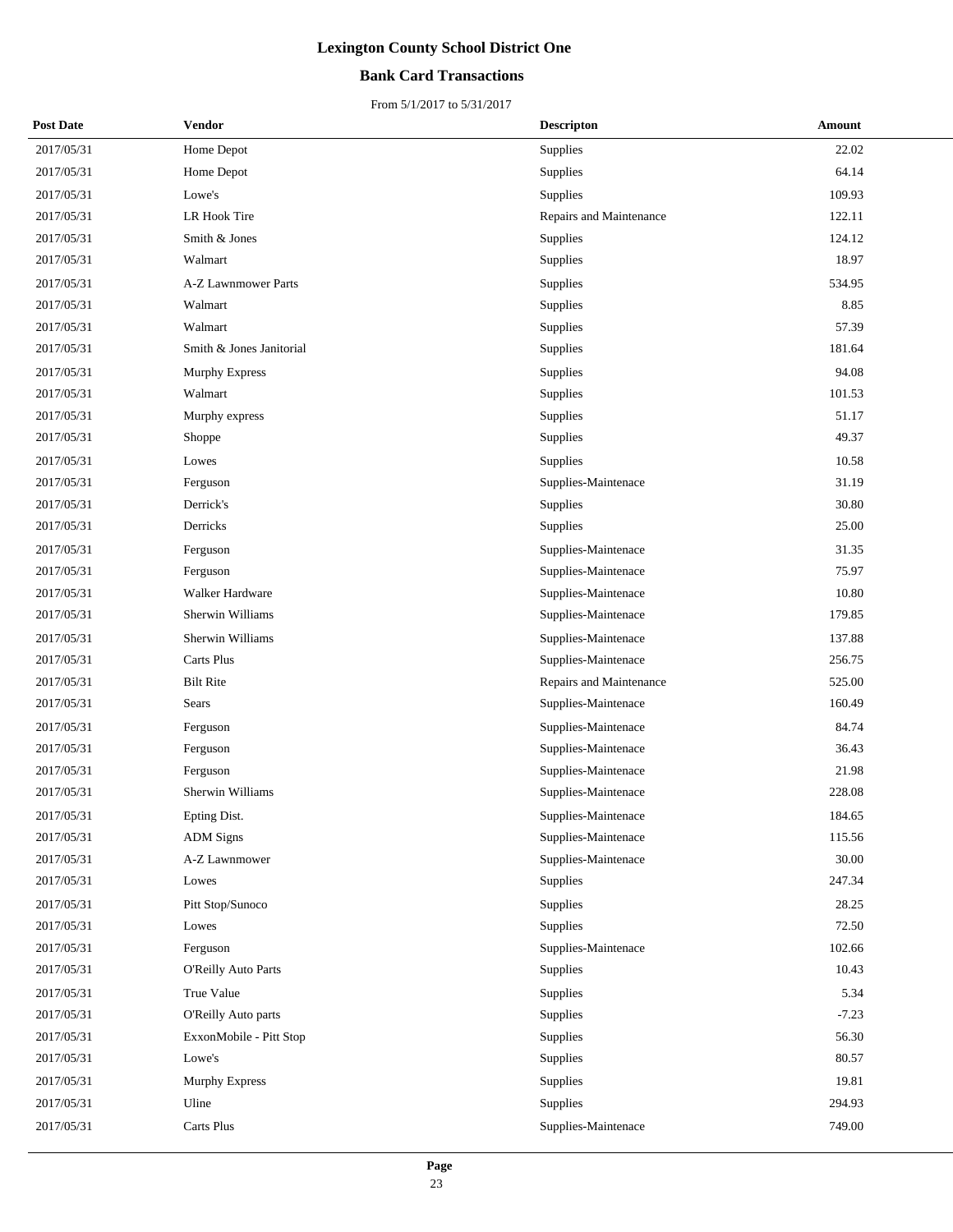### **Bank Card Transactions**

| <b>Post Date</b> | Vendor                   | <b>Descripton</b> | Amount                            |  |
|------------------|--------------------------|-------------------|-----------------------------------|--|
| 2017/05/31       | Home Depot               | Supplies          | 22.02                             |  |
| 2017/05/31       | Home Depot               | Supplies          | 64.14                             |  |
| 2017/05/31       | Lowe's                   | Supplies          | 109.93                            |  |
| 2017/05/31       | <b>LR Hook Tire</b>      |                   | Repairs and Maintenance<br>122.11 |  |
| 2017/05/31       | Smith & Jones            | Supplies          | 124.12                            |  |
| 2017/05/31       | Walmart                  | Supplies          | 18.97                             |  |
| 2017/05/31       | A-Z Lawnmower Parts      | Supplies          | 534.95                            |  |
| 2017/05/31       | Walmart                  | Supplies          | 8.85                              |  |
| 2017/05/31       | Walmart                  | Supplies          | 57.39                             |  |
| 2017/05/31       | Smith & Jones Janitorial | Supplies          | 181.64                            |  |
| 2017/05/31       | <b>Murphy Express</b>    | Supplies          | 94.08                             |  |
| 2017/05/31       | Walmart                  | Supplies          | 101.53                            |  |
| 2017/05/31       | Murphy express           | Supplies          | 51.17                             |  |
| 2017/05/31       | Shoppe                   | Supplies          | 49.37                             |  |
| 2017/05/31       | Lowes                    | Supplies          | 10.58                             |  |
| 2017/05/31       | Ferguson                 |                   | 31.19<br>Supplies-Maintenace      |  |
| 2017/05/31       | Derrick's                | Supplies          | 30.80                             |  |
| 2017/05/31       | Derricks                 | Supplies          | 25.00                             |  |
| 2017/05/31       | Ferguson                 |                   | 31.35<br>Supplies-Maintenace      |  |
| 2017/05/31       | Ferguson                 |                   | Supplies-Maintenace<br>75.97      |  |
| 2017/05/31       | Walker Hardware          |                   | Supplies-Maintenace<br>10.80      |  |
| 2017/05/31       | Sherwin Williams         |                   | 179.85<br>Supplies-Maintenace     |  |
| 2017/05/31       | Sherwin Williams         |                   | Supplies-Maintenace<br>137.88     |  |
| 2017/05/31       | Carts Plus               |                   | Supplies-Maintenace<br>256.75     |  |
| 2017/05/31       | <b>Bilt Rite</b>         |                   | 525.00<br>Repairs and Maintenance |  |
| 2017/05/31       | Sears                    |                   | 160.49<br>Supplies-Maintenace     |  |
| 2017/05/31       | Ferguson                 |                   | 84.74<br>Supplies-Maintenace      |  |
| 2017/05/31       | Ferguson                 |                   | Supplies-Maintenace<br>36.43      |  |
| 2017/05/31       | Ferguson                 |                   | 21.98<br>Supplies-Maintenace      |  |
| 2017/05/31       | <b>Sherwin Williams</b>  |                   | 228.08<br>Supplies-Maintenace     |  |
| 2017/05/31       | Epting Dist.             |                   | Supplies-Maintenace<br>184.65     |  |
| 2017/05/31       | <b>ADM</b> Signs         |                   | 115.56<br>Supplies-Maintenace     |  |
| 2017/05/31       | A-Z Lawnmower            |                   | 30.00<br>Supplies-Maintenace      |  |
| 2017/05/31       | Lowes                    | Supplies          | 247.34                            |  |
| 2017/05/31       | Pitt Stop/Sunoco         | Supplies          | 28.25                             |  |
| 2017/05/31       | Lowes                    | Supplies          | 72.50                             |  |
| 2017/05/31       | Ferguson                 |                   | 102.66<br>Supplies-Maintenace     |  |
| 2017/05/31       | O'Reilly Auto Parts      | Supplies          | 10.43                             |  |
| 2017/05/31       | True Value               | Supplies          | 5.34                              |  |
| 2017/05/31       | O'Reilly Auto parts      | Supplies          | $-7.23$                           |  |
| 2017/05/31       | ExxonMobile - Pitt Stop  | Supplies          | 56.30                             |  |
| 2017/05/31       | Lowe's                   | Supplies          | 80.57                             |  |
| 2017/05/31       | Murphy Express           | Supplies          | 19.81                             |  |
| 2017/05/31       | Uline                    | Supplies          | 294.93                            |  |
| 2017/05/31       | Carts Plus               |                   | 749.00<br>Supplies-Maintenace     |  |
|                  |                          |                   |                                   |  |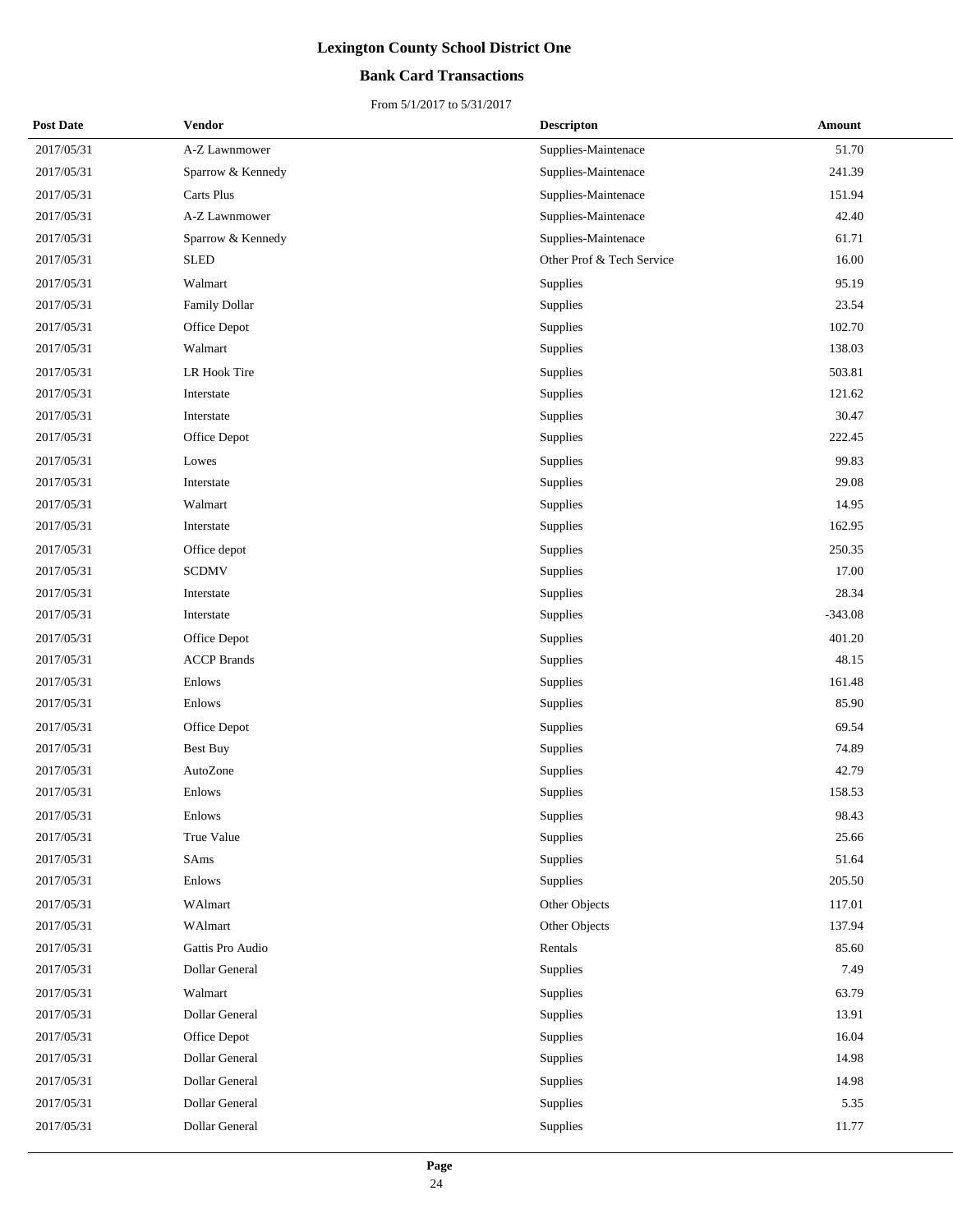### **Bank Card Transactions**

| <b>Post Date</b> | Vendor             | <b>Descripton</b>         | <b>Amount</b> |
|------------------|--------------------|---------------------------|---------------|
| 2017/05/31       | A-Z Lawnmower      | Supplies-Maintenace       | 51.70         |
| 2017/05/31       | Sparrow & Kennedy  | Supplies-Maintenace       | 241.39        |
| 2017/05/31       | Carts Plus         | Supplies-Maintenace       | 151.94        |
| 2017/05/31       | A-Z Lawnmower      | Supplies-Maintenace       | 42.40         |
| 2017/05/31       | Sparrow & Kennedy  | Supplies-Maintenace       | 61.71         |
| 2017/05/31       | <b>SLED</b>        | Other Prof & Tech Service | 16.00         |
| 2017/05/31       | Walmart            | Supplies                  | 95.19         |
| 2017/05/31       | Family Dollar      | Supplies                  | 23.54         |
| 2017/05/31       | Office Depot       | Supplies                  | 102.70        |
| 2017/05/31       | Walmart            | Supplies                  | 138.03        |
| 2017/05/31       | LR Hook Tire       | Supplies                  | 503.81        |
| 2017/05/31       | Interstate         | Supplies                  | 121.62        |
| 2017/05/31       | Interstate         | <b>Supplies</b>           | 30.47         |
| 2017/05/31       | Office Depot       | Supplies                  | 222.45        |
| 2017/05/31       | Lowes              | Supplies                  | 99.83         |
| 2017/05/31       | Interstate         | Supplies                  | 29.08         |
| 2017/05/31       | Walmart            | Supplies                  | 14.95         |
| 2017/05/31       | Interstate         | Supplies                  | 162.95        |
| 2017/05/31       | Office depot       | Supplies                  | 250.35        |
| 2017/05/31       | <b>SCDMV</b>       | Supplies                  | 17.00         |
| 2017/05/31       | Interstate         | Supplies                  | 28.34         |
| 2017/05/31       | Interstate         | Supplies                  | $-343.08$     |
| 2017/05/31       | Office Depot       | Supplies                  | 401.20        |
| 2017/05/31       | <b>ACCP</b> Brands | Supplies                  | 48.15         |
| 2017/05/31       | Enlows             | Supplies                  | 161.48        |
| 2017/05/31       | Enlows             | Supplies                  | 85.90         |
| 2017/05/31       | Office Depot       | Supplies                  | 69.54         |
| 2017/05/31       | Best Buy           | Supplies                  | 74.89         |
| 2017/05/31       | AutoZone           | Supplies                  | 42.79         |
| 2017/05/31       | Enlows             | Supplies                  | 158.53        |
| 2017/05/31       | Enlows             | Supplies                  | 98.43         |
| 2017/05/31       | True Value         | Supplies                  | 25.66         |
| 2017/05/31       | SAms               | Supplies                  | 51.64         |
| 2017/05/31       | Enlows             | Supplies                  | 205.50        |
| 2017/05/31       | WAlmart            | Other Objects             | 117.01        |
| 2017/05/31       | WAlmart            | Other Objects             | 137.94        |
| 2017/05/31       | Gattis Pro Audio   | Rentals                   | 85.60         |
| 2017/05/31       | Dollar General     | Supplies                  | 7.49          |
| 2017/05/31       | Walmart            | Supplies                  | 63.79         |
| 2017/05/31       | Dollar General     | Supplies                  | 13.91         |
| 2017/05/31       | Office Depot       | Supplies                  | 16.04         |
| 2017/05/31       | Dollar General     | Supplies                  | 14.98         |
| 2017/05/31       | Dollar General     | Supplies                  | 14.98         |
| 2017/05/31       | Dollar General     | Supplies                  | 5.35          |
| 2017/05/31       | Dollar General     | Supplies                  | 11.77         |
|                  |                    |                           |               |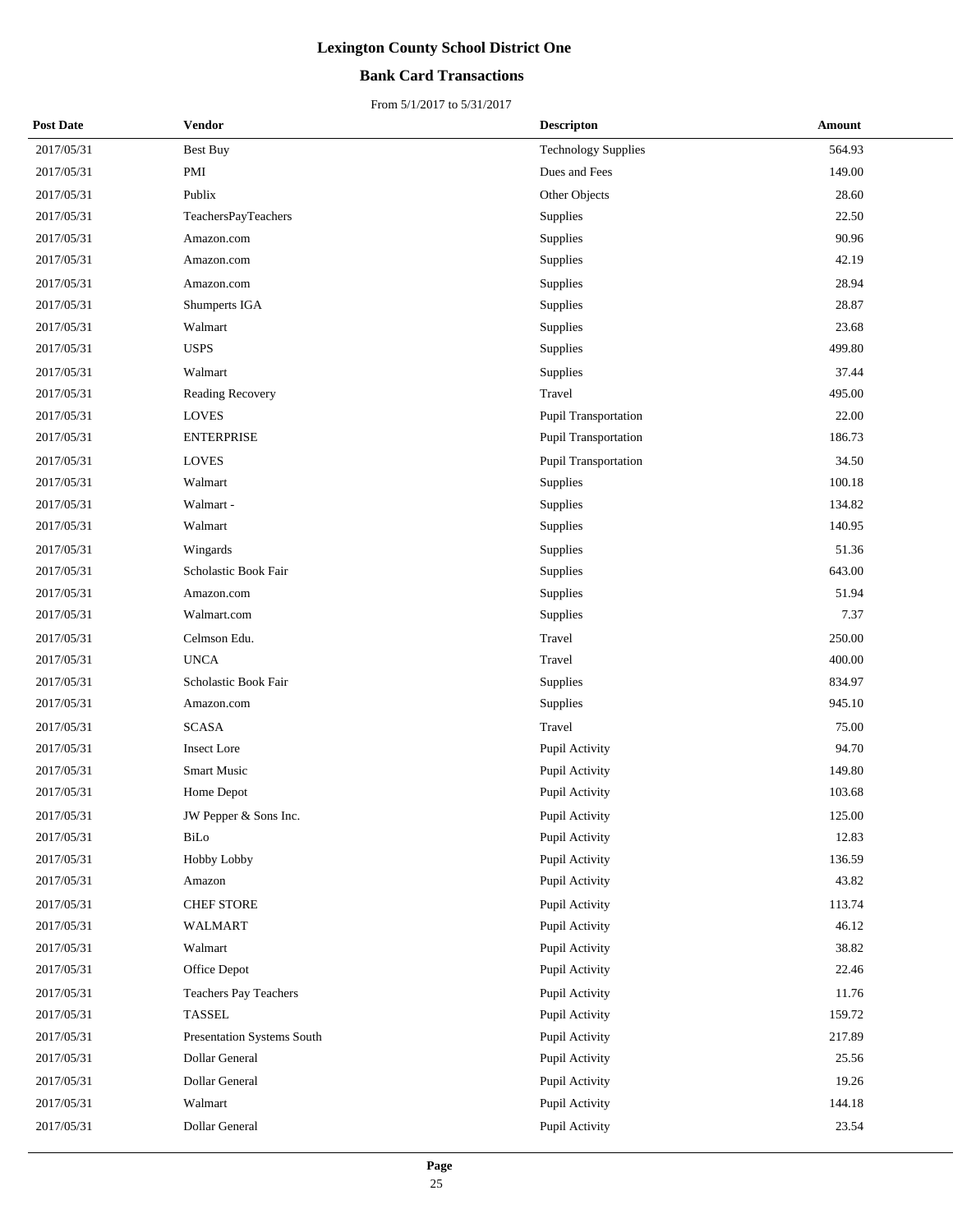### **Bank Card Transactions**

| <b>Post Date</b> | Vendor                     | <b>Descripton</b>          | Amount |
|------------------|----------------------------|----------------------------|--------|
| 2017/05/31       | <b>Best Buy</b>            | <b>Technology Supplies</b> | 564.93 |
| 2017/05/31       | PMI                        | Dues and Fees              | 149.00 |
| 2017/05/31       | Publix                     | Other Objects              | 28.60  |
| 2017/05/31       | TeachersPayTeachers        | <b>Supplies</b>            | 22.50  |
| 2017/05/31       | Amazon.com                 | Supplies                   | 90.96  |
| 2017/05/31       | Amazon.com                 | Supplies                   | 42.19  |
| 2017/05/31       | Amazon.com                 | Supplies                   | 28.94  |
| 2017/05/31       | Shumperts IGA              | <b>Supplies</b>            | 28.87  |
| 2017/05/31       | Walmart                    | Supplies                   | 23.68  |
| 2017/05/31       | <b>USPS</b>                | Supplies                   | 499.80 |
| 2017/05/31       | Walmart                    | Supplies                   | 37.44  |
| 2017/05/31       | Reading Recovery           | Travel                     | 495.00 |
| 2017/05/31       | <b>LOVES</b>               | Pupil Transportation       | 22.00  |
| 2017/05/31       | <b>ENTERPRISE</b>          | Pupil Transportation       | 186.73 |
| 2017/05/31       | <b>LOVES</b>               | Pupil Transportation       | 34.50  |
| 2017/05/31       | Walmart                    | <b>Supplies</b>            | 100.18 |
| 2017/05/31       | Walmart-                   | Supplies                   | 134.82 |
| 2017/05/31       | Walmart                    | Supplies                   | 140.95 |
| 2017/05/31       | Wingards                   | Supplies                   | 51.36  |
| 2017/05/31       | Scholastic Book Fair       | Supplies                   | 643.00 |
| 2017/05/31       | Amazon.com                 | Supplies                   | 51.94  |
| 2017/05/31       | Walmart.com                | Supplies                   | 7.37   |
| 2017/05/31       | Celmson Edu.               | Travel                     | 250.00 |
| 2017/05/31       | <b>UNCA</b>                | Travel                     | 400.00 |
| 2017/05/31       | Scholastic Book Fair       | Supplies                   | 834.97 |
| 2017/05/31       | Amazon.com                 | Supplies                   | 945.10 |
| 2017/05/31       | <b>SCASA</b>               | Travel                     | 75.00  |
| 2017/05/31       | <b>Insect Lore</b>         | Pupil Activity             | 94.70  |
| 2017/05/31       | <b>Smart Music</b>         | Pupil Activity             | 149.80 |
| 2017/05/31       | Home Depot                 | Pupil Activity             | 103.68 |
| 2017/05/31       | JW Pepper & Sons Inc.      | Pupil Activity             | 125.00 |
| 2017/05/31       | BiLo                       | Pupil Activity             | 12.83  |
| 2017/05/31       | Hobby Lobby                | Pupil Activity             | 136.59 |
| 2017/05/31       | Amazon                     | Pupil Activity             | 43.82  |
| 2017/05/31       | <b>CHEF STORE</b>          | Pupil Activity             | 113.74 |
| 2017/05/31       | WALMART                    | Pupil Activity             | 46.12  |
| 2017/05/31       | Walmart                    | Pupil Activity             | 38.82  |
| 2017/05/31       | Office Depot               | Pupil Activity             | 22.46  |
| 2017/05/31       | Teachers Pay Teachers      | Pupil Activity             | 11.76  |
| 2017/05/31       | TASSEL                     | Pupil Activity             | 159.72 |
| 2017/05/31       | Presentation Systems South | Pupil Activity             | 217.89 |
| 2017/05/31       | Dollar General             | Pupil Activity             | 25.56  |
| 2017/05/31       | Dollar General             | Pupil Activity             | 19.26  |
| 2017/05/31       | Walmart                    | Pupil Activity             | 144.18 |
| 2017/05/31       | Dollar General             | Pupil Activity             | 23.54  |
|                  |                            |                            |        |